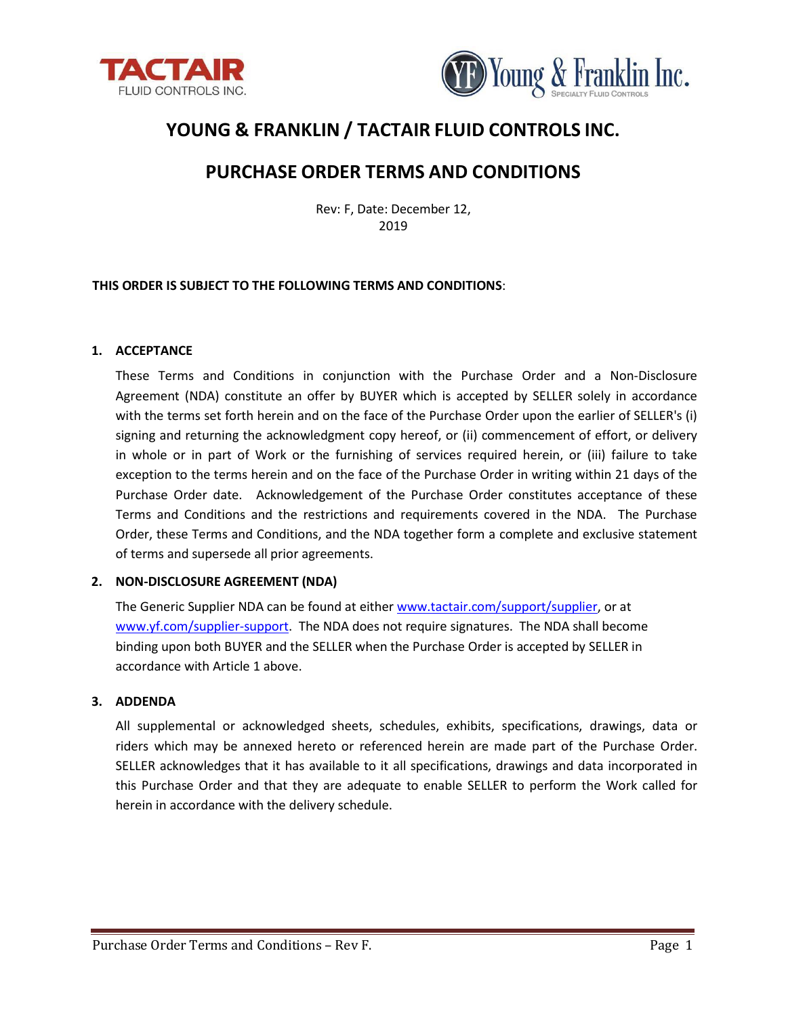



# **YOUNG & FRANKLIN / TACTAIR FLUID CONTROLS INC.**

# **PURCHASE ORDER TERMS AND CONDITIONS**

Rev: F, Date: December 12, 2019

# **THIS ORDER IS SUBJECT TO THE FOLLOWING TERMS AND CONDITIONS**:

#### **1. ACCEPTANCE**

These Terms and Conditions in conjunction with the Purchase Order and a Non-Disclosure Agreement (NDA) constitute an offer by BUYER which is accepted by SELLER solely in accordance with the terms set forth herein and on the face of the Purchase Order upon the earlier of SELLER's (i) signing and returning the acknowledgment copy hereof, or (ii) commencement of effort, or delivery in whole or in part of Work or the furnishing of services required herein, or (iii) failure to take exception to the terms herein and on the face of the Purchase Order in writing within 21 days of the Purchase Order date. Acknowledgement of the Purchase Order constitutes acceptance of these Terms and Conditions and the restrictions and requirements covered in the NDA. The Purchase Order, these Terms and Conditions, and the NDA together form a complete and exclusive statement of terms and supersede all prior agreements.

# **2. NON-DISCLOSURE AGREEMENT (NDA)**

The Generic Supplier NDA can be found at either [www.tactair.com/support/supplier,](http://www.tactair.com/support/supplier) or at [www.yf.com/supplier-support.](http://www.yf.com/supplier-support) The NDA does not require signatures. The NDA shall become binding upon both BUYER and the SELLER when the Purchase Order is accepted by SELLER in accordance with Article 1 above.

# **3. ADDENDA**

All supplemental or acknowledged sheets, schedules, exhibits, specifications, drawings, data or riders which may be annexed hereto or referenced herein are made part of the Purchase Order. SELLER acknowledges that it has available to it all specifications, drawings and data incorporated in this Purchase Order and that they are adequate to enable SELLER to perform the Work called for herein in accordance with the delivery schedule.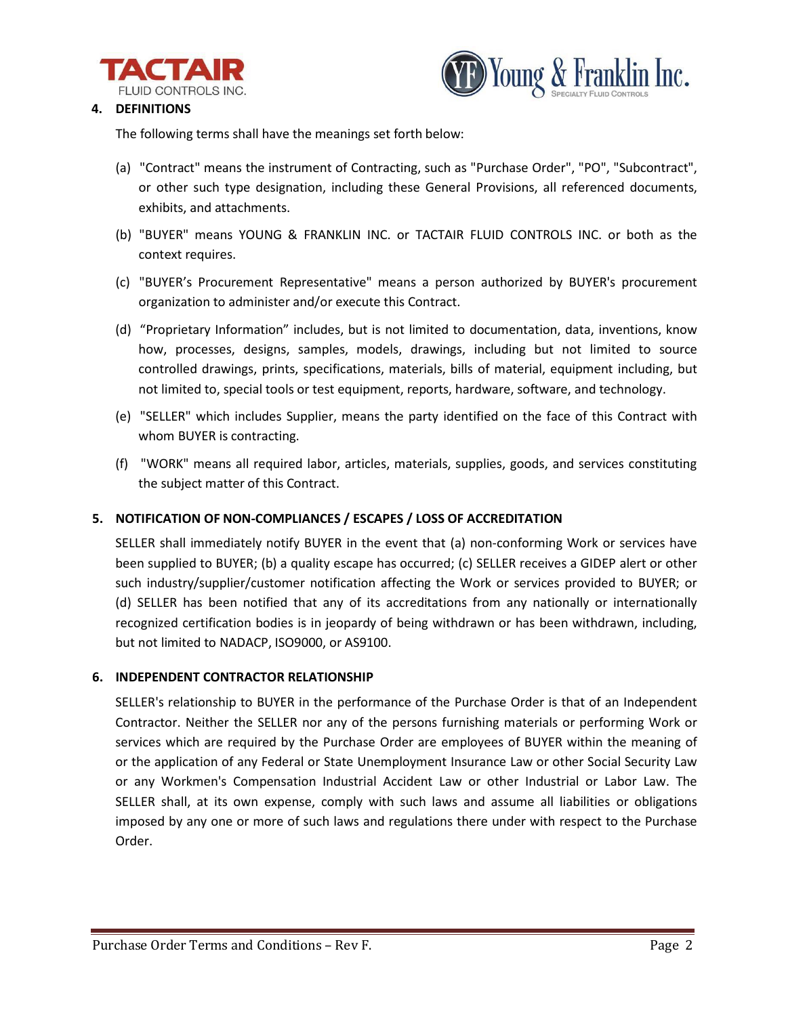



# **4. DEFINITIONS**

The following terms shall have the meanings set forth below:

- (a) "Contract" means the instrument of Contracting, such as "Purchase Order", "PO", "Subcontract", or other such type designation, including these General Provisions, all referenced documents, exhibits, and attachments.
- (b) "BUYER" means YOUNG & FRANKLIN INC. or TACTAIR FLUID CONTROLS INC. or both as the context requires.
- (c) "BUYER's Procurement Representative" means a person authorized by BUYER's procurement organization to administer and/or execute this Contract.
- (d) "Proprietary Information" includes, but is not limited to documentation, data, inventions, know how, processes, designs, samples, models, drawings, including but not limited to source controlled drawings, prints, specifications, materials, bills of material, equipment including, but not limited to, special tools or test equipment, reports, hardware, software, and technology.
- (e) "SELLER" which includes Supplier, means the party identified on the face of this Contract with whom BUYER is contracting.
- (f) "WORK" means all required labor, articles, materials, supplies, goods, and services constituting the subject matter of this Contract.

# **5. NOTIFICATION OF NON-COMPLIANCES / ESCAPES / LOSS OF ACCREDITATION**

SELLER shall immediately notify BUYER in the event that (a) non-conforming Work or services have been supplied to BUYER; (b) a quality escape has occurred; (c) SELLER receives a GIDEP alert or other such industry/supplier/customer notification affecting the Work or services provided to BUYER; or (d) SELLER has been notified that any of its accreditations from any nationally or internationally recognized certification bodies is in jeopardy of being withdrawn or has been withdrawn, including, but not limited to NADACP, ISO9000, or AS9100.

# **6. INDEPENDENT CONTRACTOR RELATIONSHIP**

SELLER's relationship to BUYER in the performance of the Purchase Order is that of an Independent Contractor. Neither the SELLER nor any of the persons furnishing materials or performing Work or services which are required by the Purchase Order are employees of BUYER within the meaning of or the application of any Federal or State Unemployment Insurance Law or other Social Security Law or any Workmen's Compensation Industrial Accident Law or other Industrial or Labor Law. The SELLER shall, at its own expense, comply with such laws and assume all liabilities or obligations imposed by any one or more of such laws and regulations there under with respect to the Purchase Order.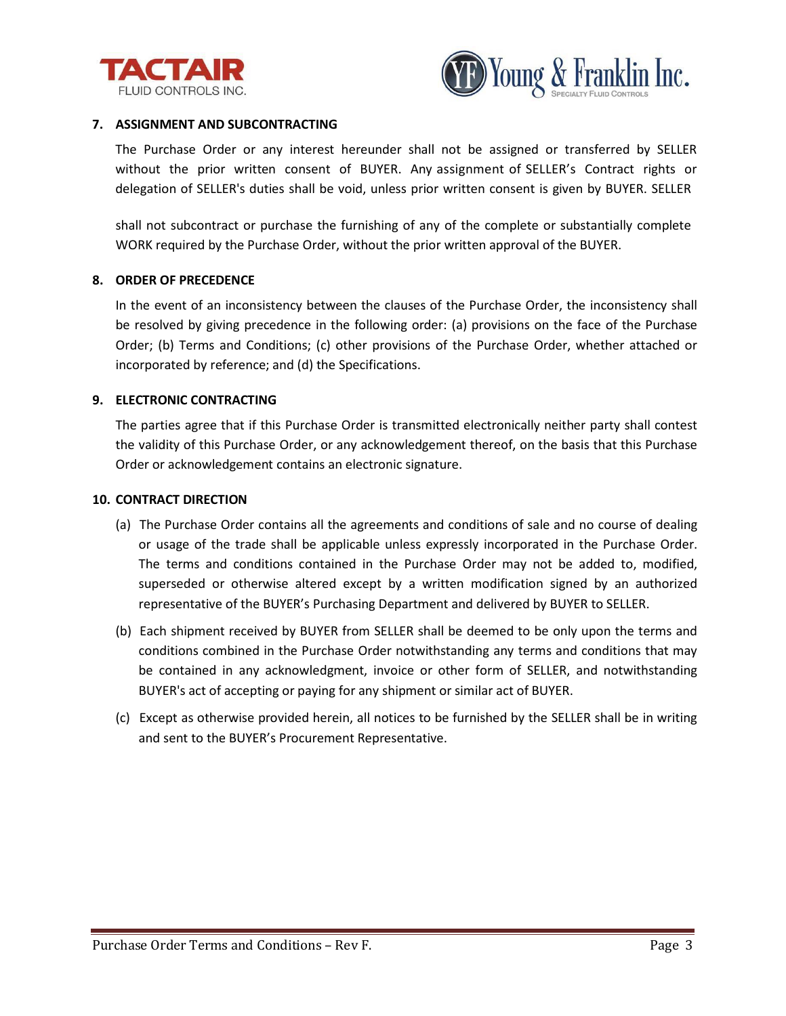



#### **7. ASSIGNMENT AND SUBCONTRACTING**

The Purchase Order or any interest hereunder shall not be assigned or transferred by SELLER without the prior written consent of BUYER. Any assignment of SELLER's Contract rights or delegation of SELLER's duties shall be void, unless prior written consent is given by BUYER. SELLER

shall not subcontract or purchase the furnishing of any of the complete or substantially complete WORK required by the Purchase Order, without the prior written approval of the BUYER.

#### **8. ORDER OF PRECEDENCE**

In the event of an inconsistency between the clauses of the Purchase Order, the inconsistency shall be resolved by giving precedence in the following order: (a) provisions on the face of the Purchase Order; (b) Terms and Conditions; (c) other provisions of the Purchase Order, whether attached or incorporated by reference; and (d) the Specifications.

#### **9. ELECTRONIC CONTRACTING**

The parties agree that if this Purchase Order is transmitted electronically neither party shall contest the validity of this Purchase Order, or any acknowledgement thereof, on the basis that this Purchase Order or acknowledgement contains an electronic signature.

#### **10. CONTRACT DIRECTION**

- (a) The Purchase Order contains all the agreements and conditions of sale and no course of dealing or usage of the trade shall be applicable unless expressly incorporated in the Purchase Order. The terms and conditions contained in the Purchase Order may not be added to, modified, superseded or otherwise altered except by a written modification signed by an authorized representative of the BUYER's Purchasing Department and delivered by BUYER to SELLER.
- (b) Each shipment received by BUYER from SELLER shall be deemed to be only upon the terms and conditions combined in the Purchase Order notwithstanding any terms and conditions that may be contained in any acknowledgment, invoice or other form of SELLER, and notwithstanding BUYER's act of accepting or paying for any shipment or similar act of BUYER.
- (c) Except as otherwise provided herein, all notices to be furnished by the SELLER shall be in writing and sent to the BUYER's Procurement Representative.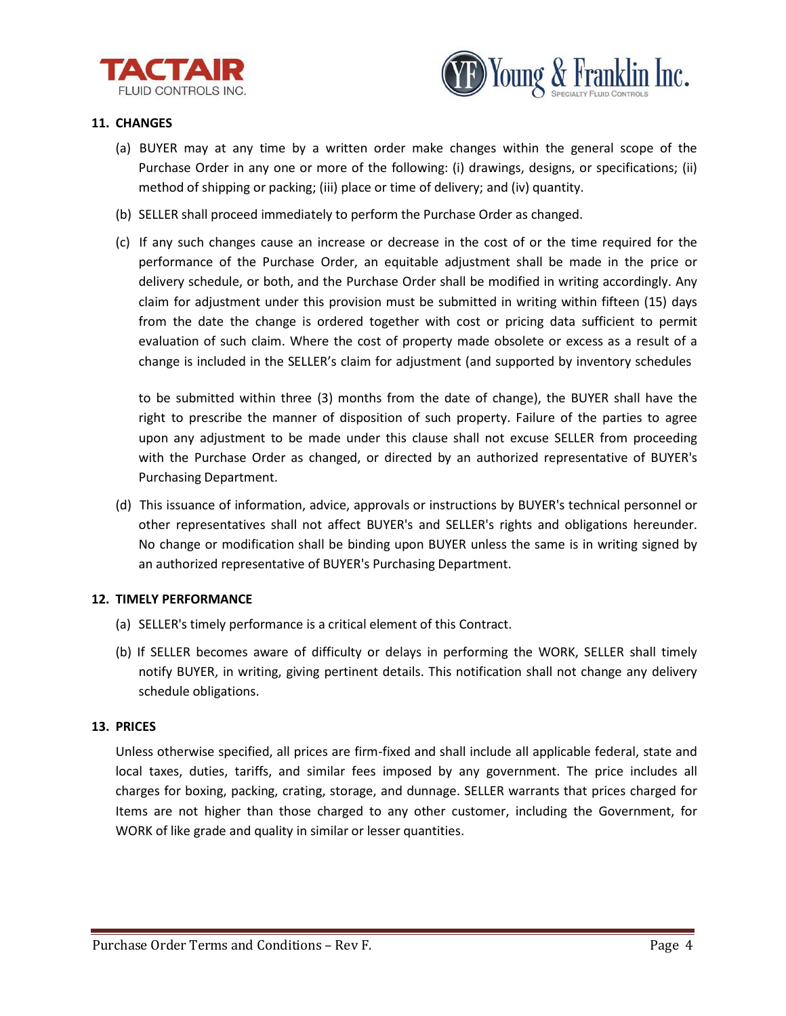



# **11. CHANGES**

- (a) BUYER may at any time by a written order make changes within the general scope of the Purchase Order in any one or more of the following: (i) drawings, designs, or specifications; (ii) method of shipping or packing; (iii) place or time of delivery; and (iv) quantity.
- (b) SELLER shall proceed immediately to perform the Purchase Order as changed.
- (c) If any such changes cause an increase or decrease in the cost of or the time required for the performance of the Purchase Order, an equitable adjustment shall be made in the price or delivery schedule, or both, and the Purchase Order shall be modified in writing accordingly. Any claim for adjustment under this provision must be submitted in writing within fifteen (15) days from the date the change is ordered together with cost or pricing data sufficient to permit evaluation of such claim. Where the cost of property made obsolete or excess as a result of a change is included in the SELLER's claim for adjustment (and supported by inventory schedules

to be submitted within three (3) months from the date of change), the BUYER shall have the right to prescribe the manner of disposition of such property. Failure of the parties to agree upon any adjustment to be made under this clause shall not excuse SELLER from proceeding with the Purchase Order as changed, or directed by an authorized representative of BUYER's Purchasing Department.

(d) This issuance of information, advice, approvals or instructions by BUYER's technical personnel or other representatives shall not affect BUYER's and SELLER's rights and obligations hereunder. No change or modification shall be binding upon BUYER unless the same is in writing signed by an authorized representative of BUYER's Purchasing Department.

# **12. TIMELY PERFORMANCE**

- (a) SELLER's timely performance is a critical element of this Contract.
- (b) If SELLER becomes aware of difficulty or delays in performing the WORK, SELLER shall timely notify BUYER, in writing, giving pertinent details. This notification shall not change any delivery schedule obligations.

# **13. PRICES**

Unless otherwise specified, all prices are firm-fixed and shall include all applicable federal, state and local taxes, duties, tariffs, and similar fees imposed by any government. The price includes all charges for boxing, packing, crating, storage, and dunnage. SELLER warrants that prices charged for Items are not higher than those charged to any other customer, including the Government, for WORK of like grade and quality in similar or lesser quantities.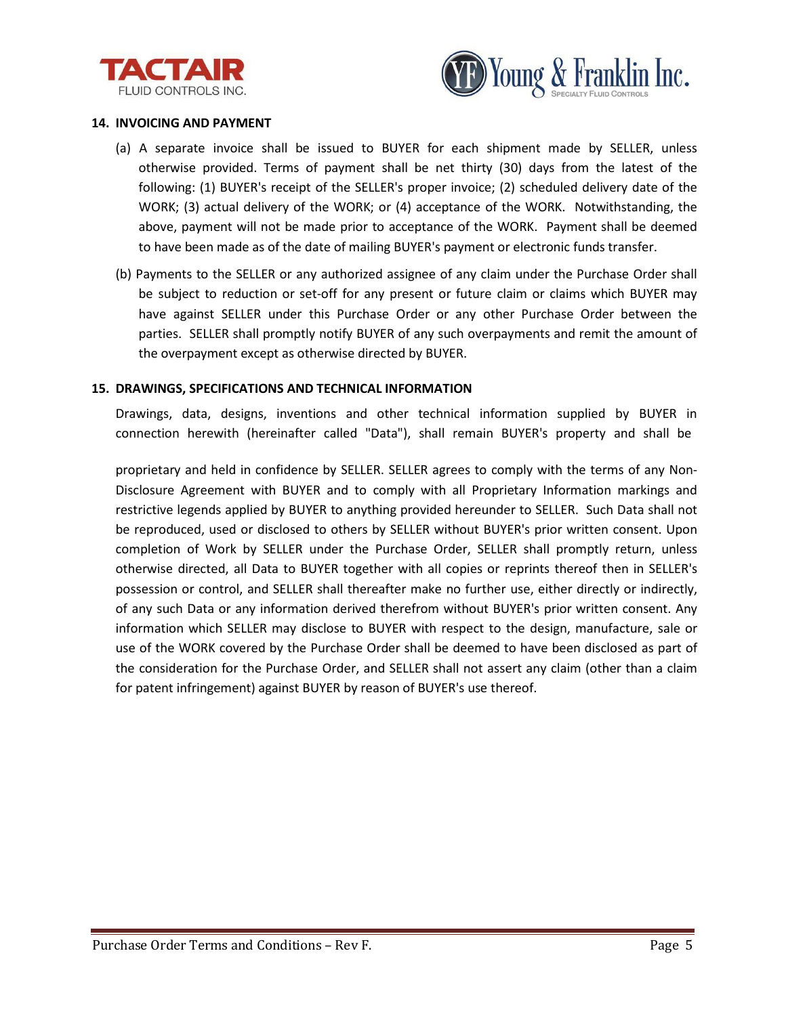



#### **14. INVOICING AND PAYMENT**

- (a) A separate invoice shall be issued to BUYER for each shipment made by SELLER, unless otherwise provided. Terms of payment shall be net thirty (30) days from the latest of the following: (1) BUYER's receipt of the SELLER's proper invoice; (2) scheduled delivery date of the WORK; (3) actual delivery of the WORK; or (4) acceptance of the WORK. Notwithstanding, the above, payment will not be made prior to acceptance of the WORK. Payment shall be deemed to have been made as of the date of mailing BUYER's payment or electronic funds transfer.
- (b) Payments to the SELLER or any authorized assignee of any claim under the Purchase Order shall be subject to reduction or set-off for any present or future claim or claims which BUYER may have against SELLER under this Purchase Order or any other Purchase Order between the parties. SELLER shall promptly notify BUYER of any such overpayments and remit the amount of the overpayment except as otherwise directed by BUYER.

#### **15. DRAWINGS, SPECIFICATIONS AND TECHNICAL INFORMATION**

Drawings, data, designs, inventions and other technical information supplied by BUYER in connection herewith (hereinafter called "Data"), shall remain BUYER's property and shall be

proprietary and held in confidence by SELLER. SELLER agrees to comply with the terms of any Non-Disclosure Agreement with BUYER and to comply with all Proprietary Information markings and restrictive legends applied by BUYER to anything provided hereunder to SELLER. Such Data shall not be reproduced, used or disclosed to others by SELLER without BUYER's prior written consent. Upon completion of Work by SELLER under the Purchase Order, SELLER shall promptly return, unless otherwise directed, all Data to BUYER together with all copies or reprints thereof then in SELLER's possession or control, and SELLER shall thereafter make no further use, either directly or indirectly, of any such Data or any information derived therefrom without BUYER's prior written consent. Any information which SELLER may disclose to BUYER with respect to the design, manufacture, sale or use of the WORK covered by the Purchase Order shall be deemed to have been disclosed as part of the consideration for the Purchase Order, and SELLER shall not assert any claim (other than a claim for patent infringement) against BUYER by reason of BUYER's use thereof.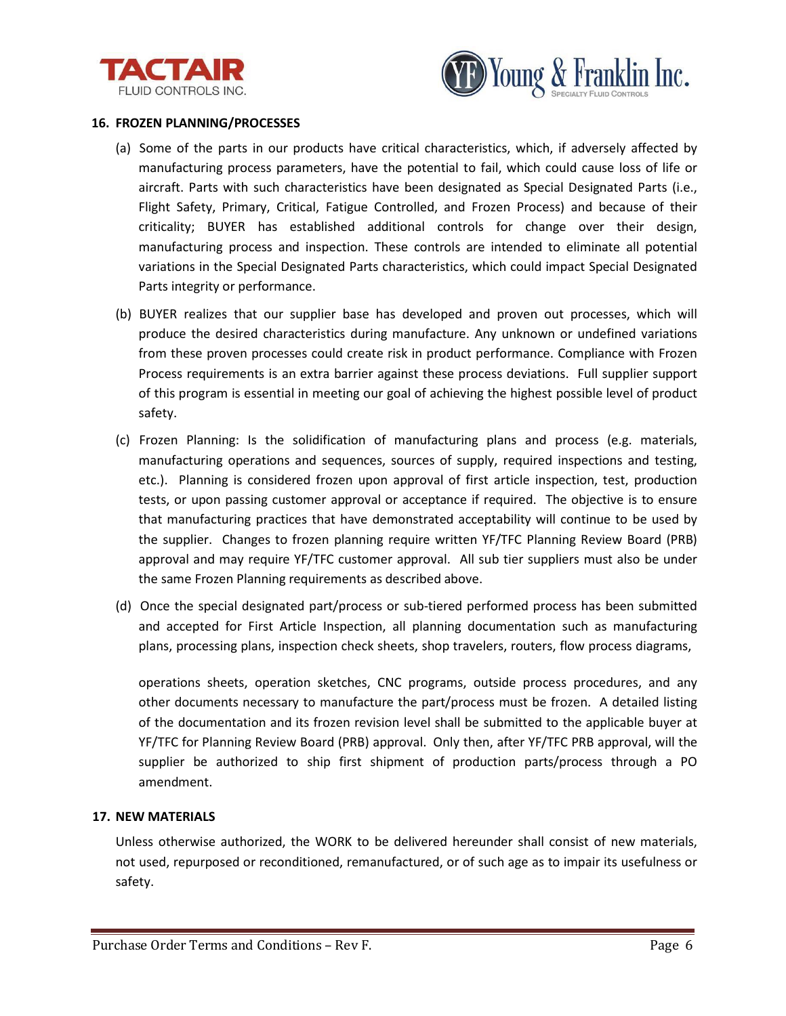



#### **16. FROZEN PLANNING/PROCESSES**

- (a) Some of the parts in our products have critical characteristics, which, if adversely affected by manufacturing process parameters, have the potential to fail, which could cause loss of life or aircraft. Parts with such characteristics have been designated as Special Designated Parts (i.e., Flight Safety, Primary, Critical, Fatigue Controlled, and Frozen Process) and because of their criticality; BUYER has established additional controls for change over their design, manufacturing process and inspection. These controls are intended to eliminate all potential variations in the Special Designated Parts characteristics, which could impact Special Designated Parts integrity or performance.
- (b) BUYER realizes that our supplier base has developed and proven out processes, which will produce the desired characteristics during manufacture. Any unknown or undefined variations from these proven processes could create risk in product performance. Compliance with Frozen Process requirements is an extra barrier against these process deviations. Full supplier support of this program is essential in meeting our goal of achieving the highest possible level of product safety.
- (c) Frozen Planning: Is the solidification of manufacturing plans and process (e.g. materials, manufacturing operations and sequences, sources of supply, required inspections and testing, etc.). Planning is considered frozen upon approval of first article inspection, test, production tests, or upon passing customer approval or acceptance if required. The objective is to ensure that manufacturing practices that have demonstrated acceptability will continue to be used by the supplier. Changes to frozen planning require written YF/TFC Planning Review Board (PRB) approval and may require YF/TFC customer approval. All sub tier suppliers must also be under the same Frozen Planning requirements as described above.
- (d) Once the special designated part/process or sub-tiered performed process has been submitted and accepted for First Article Inspection, all planning documentation such as manufacturing plans, processing plans, inspection check sheets, shop travelers, routers, flow process diagrams,

operations sheets, operation sketches, CNC programs, outside process procedures, and any other documents necessary to manufacture the part/process must be frozen. A detailed listing of the documentation and its frozen revision level shall be submitted to the applicable buyer at YF/TFC for Planning Review Board (PRB) approval. Only then, after YF/TFC PRB approval, will the supplier be authorized to ship first shipment of production parts/process through a PO amendment.

# **17. NEW MATERIALS**

Unless otherwise authorized, the WORK to be delivered hereunder shall consist of new materials, not used, repurposed or reconditioned, remanufactured, or of such age as to impair its usefulness or safety.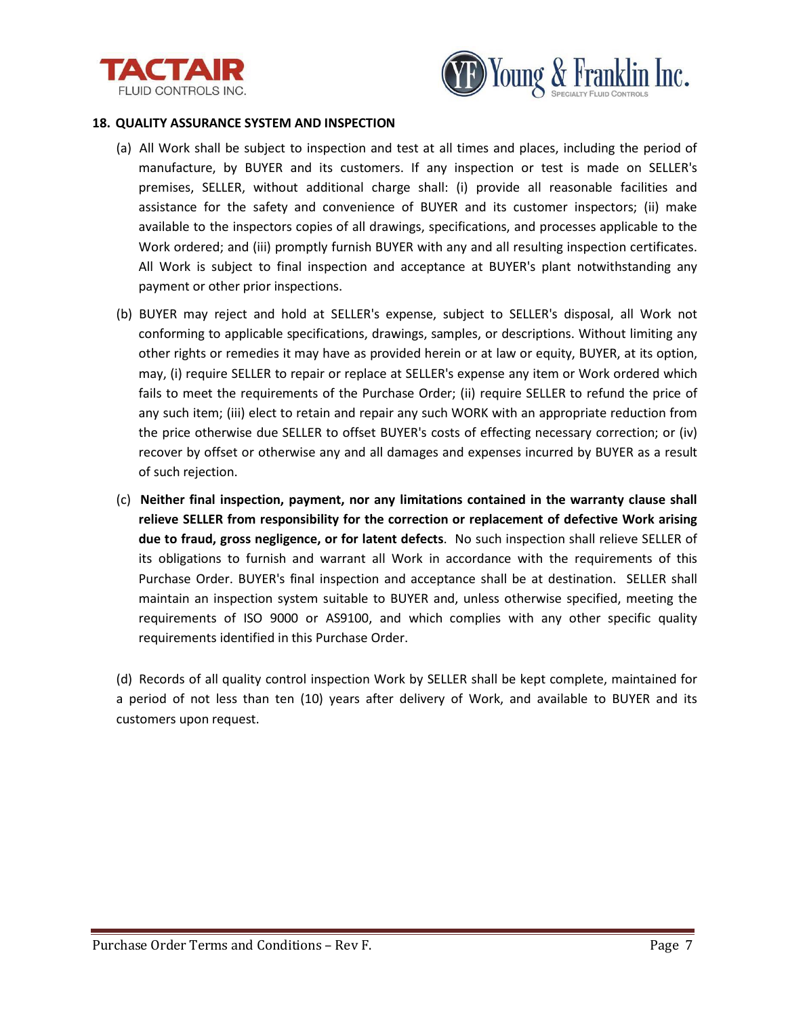



#### **18. QUALITY ASSURANCE SYSTEM AND INSPECTION**

- (a) All Work shall be subject to inspection and test at all times and places, including the period of manufacture, by BUYER and its customers. If any inspection or test is made on SELLER's premises, SELLER, without additional charge shall: (i) provide all reasonable facilities and assistance for the safety and convenience of BUYER and its customer inspectors; (ii) make available to the inspectors copies of all drawings, specifications, and processes applicable to the Work ordered; and (iii) promptly furnish BUYER with any and all resulting inspection certificates. All Work is subject to final inspection and acceptance at BUYER's plant notwithstanding any payment or other prior inspections.
- (b) BUYER may reject and hold at SELLER's expense, subject to SELLER's disposal, all Work not conforming to applicable specifications, drawings, samples, or descriptions. Without limiting any other rights or remedies it may have as provided herein or at law or equity, BUYER, at its option, may, (i) require SELLER to repair or replace at SELLER's expense any item or Work ordered which fails to meet the requirements of the Purchase Order; (ii) require SELLER to refund the price of any such item; (iii) elect to retain and repair any such WORK with an appropriate reduction from the price otherwise due SELLER to offset BUYER's costs of effecting necessary correction; or (iv) recover by offset or otherwise any and all damages and expenses incurred by BUYER as a result of such rejection.
- (c) **Neither final inspection, payment, nor any limitations contained in the warranty clause shall relieve SELLER from responsibility for the correction or replacement of defective Work arising due to fraud, gross negligence, or for latent defects**. No such inspection shall relieve SELLER of its obligations to furnish and warrant all Work in accordance with the requirements of this Purchase Order. BUYER's final inspection and acceptance shall be at destination. SELLER shall maintain an inspection system suitable to BUYER and, unless otherwise specified, meeting the requirements of ISO 9000 or AS9100, and which complies with any other specific quality requirements identified in this Purchase Order.

(d) Records of all quality control inspection Work by SELLER shall be kept complete, maintained for a period of not less than ten (10) years after delivery of Work, and available to BUYER and its customers upon request.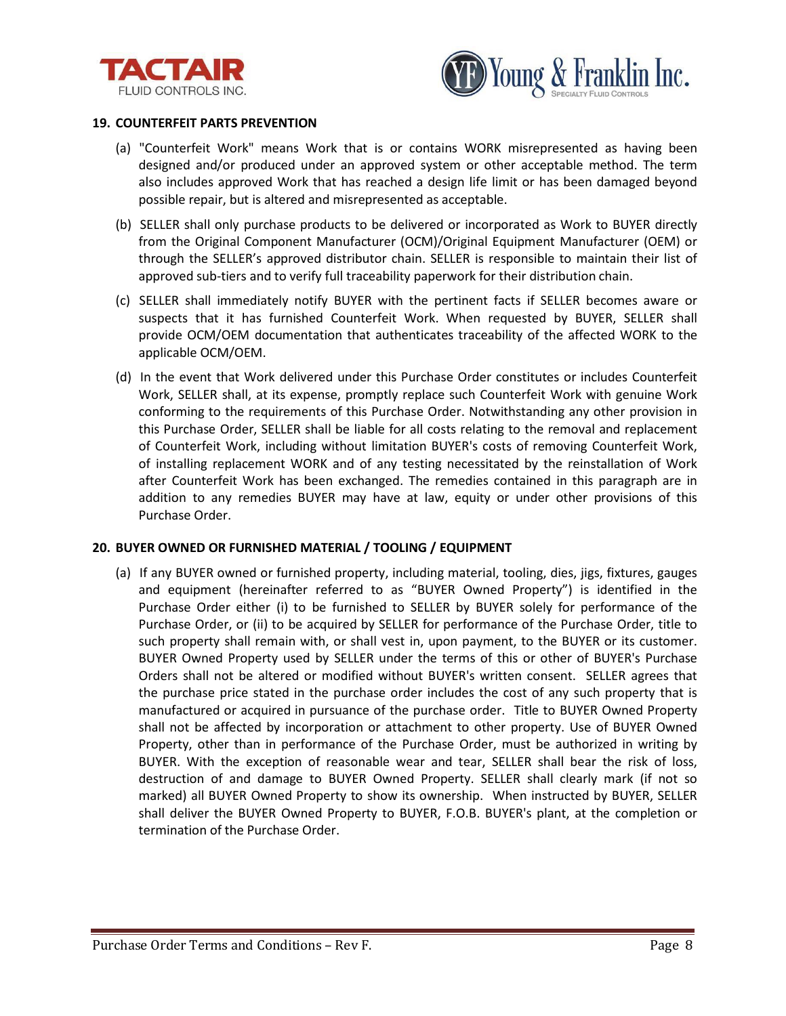



#### **19. COUNTERFEIT PARTS PREVENTION**

- (a) "Counterfeit Work" means Work that is or contains WORK misrepresented as having been designed and/or produced under an approved system or other acceptable method. The term also includes approved Work that has reached a design life limit or has been damaged beyond possible repair, but is altered and misrepresented as acceptable.
- (b) SELLER shall only purchase products to be delivered or incorporated as Work to BUYER directly from the Original Component Manufacturer (OCM)/Original Equipment Manufacturer (OEM) or through the SELLER's approved distributor chain. SELLER is responsible to maintain their list of approved sub-tiers and to verify full traceability paperwork for their distribution chain.
- (c) SELLER shall immediately notify BUYER with the pertinent facts if SELLER becomes aware or suspects that it has furnished Counterfeit Work. When requested by BUYER, SELLER shall provide OCM/OEM documentation that authenticates traceability of the affected WORK to the applicable OCM/OEM.
- (d) In the event that Work delivered under this Purchase Order constitutes or includes Counterfeit Work, SELLER shall, at its expense, promptly replace such Counterfeit Work with genuine Work conforming to the requirements of this Purchase Order. Notwithstanding any other provision in this Purchase Order, SELLER shall be liable for all costs relating to the removal and replacement of Counterfeit Work, including without limitation BUYER's costs of removing Counterfeit Work, of installing replacement WORK and of any testing necessitated by the reinstallation of Work after Counterfeit Work has been exchanged. The remedies contained in this paragraph are in addition to any remedies BUYER may have at law, equity or under other provisions of this Purchase Order.

#### **20. BUYER OWNED OR FURNISHED MATERIAL / TOOLING / EQUIPMENT**

(a) If any BUYER owned or furnished property, including material, tooling, dies, jigs, fixtures, gauges and equipment (hereinafter referred to as "BUYER Owned Property") is identified in the Purchase Order either (i) to be furnished to SELLER by BUYER solely for performance of the Purchase Order, or (ii) to be acquired by SELLER for performance of the Purchase Order, title to such property shall remain with, or shall vest in, upon payment, to the BUYER or its customer. BUYER Owned Property used by SELLER under the terms of this or other of BUYER's Purchase Orders shall not be altered or modified without BUYER's written consent. SELLER agrees that the purchase price stated in the purchase order includes the cost of any such property that is manufactured or acquired in pursuance of the purchase order. Title to BUYER Owned Property shall not be affected by incorporation or attachment to other property. Use of BUYER Owned Property, other than in performance of the Purchase Order, must be authorized in writing by BUYER. With the exception of reasonable wear and tear, SELLER shall bear the risk of loss, destruction of and damage to BUYER Owned Property. SELLER shall clearly mark (if not so marked) all BUYER Owned Property to show its ownership. When instructed by BUYER, SELLER shall deliver the BUYER Owned Property to BUYER, F.O.B. BUYER's plant, at the completion or termination of the Purchase Order.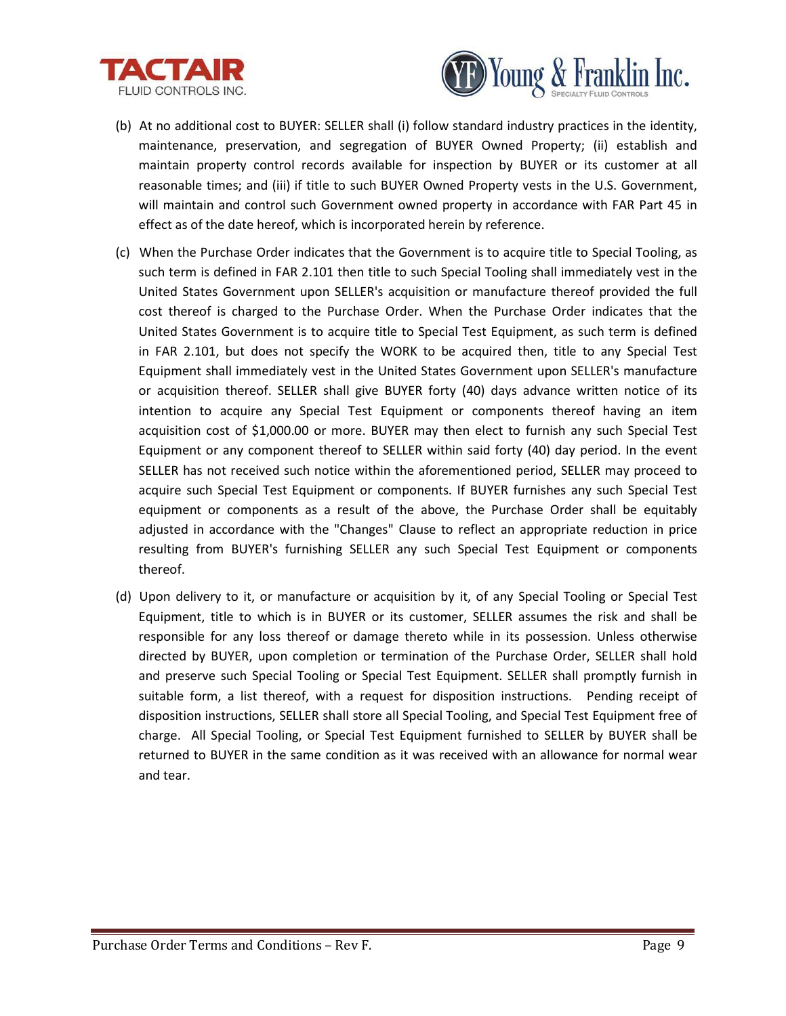



- (b) At no additional cost to BUYER: SELLER shall (i) follow standard industry practices in the identity, maintenance, preservation, and segregation of BUYER Owned Property; (ii) establish and maintain property control records available for inspection by BUYER or its customer at all reasonable times; and (iii) if title to such BUYER Owned Property vests in the U.S. Government, will maintain and control such Government owned property in accordance with FAR Part 45 in effect as of the date hereof, which is incorporated herein by reference.
- (c) When the Purchase Order indicates that the Government is to acquire title to Special Tooling, as such term is defined in FAR 2.101 then title to such Special Tooling shall immediately vest in the United States Government upon SELLER's acquisition or manufacture thereof provided the full cost thereof is charged to the Purchase Order. When the Purchase Order indicates that the United States Government is to acquire title to Special Test Equipment, as such term is defined in FAR 2.101, but does not specify the WORK to be acquired then, title to any Special Test Equipment shall immediately vest in the United States Government upon SELLER's manufacture or acquisition thereof. SELLER shall give BUYER forty (40) days advance written notice of its intention to acquire any Special Test Equipment or components thereof having an item acquisition cost of \$1,000.00 or more. BUYER may then elect to furnish any such Special Test Equipment or any component thereof to SELLER within said forty (40) day period. In the event SELLER has not received such notice within the aforementioned period, SELLER may proceed to acquire such Special Test Equipment or components. If BUYER furnishes any such Special Test equipment or components as a result of the above, the Purchase Order shall be equitably adjusted in accordance with the "Changes" Clause to reflect an appropriate reduction in price resulting from BUYER's furnishing SELLER any such Special Test Equipment or components thereof.
- (d) Upon delivery to it, or manufacture or acquisition by it, of any Special Tooling or Special Test Equipment, title to which is in BUYER or its customer, SELLER assumes the risk and shall be responsible for any loss thereof or damage thereto while in its possession. Unless otherwise directed by BUYER, upon completion or termination of the Purchase Order, SELLER shall hold and preserve such Special Tooling or Special Test Equipment. SELLER shall promptly furnish in suitable form, a list thereof, with a request for disposition instructions. Pending receipt of disposition instructions, SELLER shall store all Special Tooling, and Special Test Equipment free of charge. All Special Tooling, or Special Test Equipment furnished to SELLER by BUYER shall be returned to BUYER in the same condition as it was received with an allowance for normal wear and tear.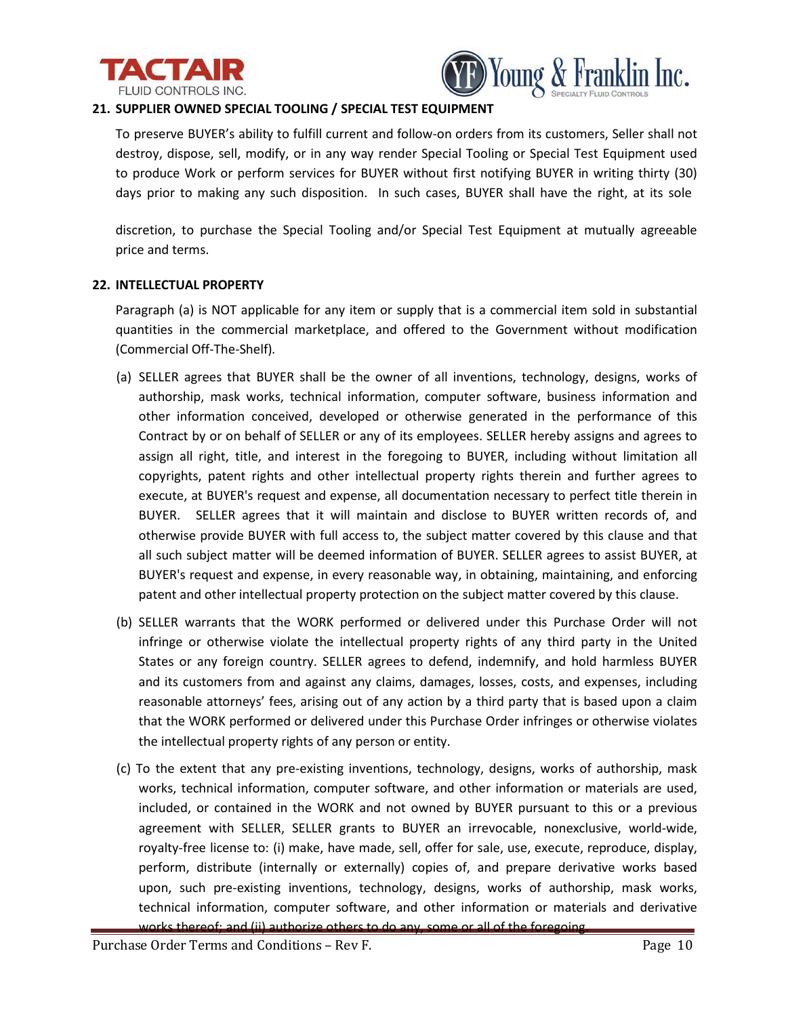



# **21. SUPPLIER OWNED SPECIAL TOOLING / SPECIAL TEST EQUIPMENT**

To preserve BUYER's ability to fulfill current and follow-on orders from its customers, Seller shall not destroy, dispose, sell, modify, or in any way render Special Tooling or Special Test Equipment used to produce Work or perform services for BUYER without first notifying BUYER in writing thirty (30) days prior to making any such disposition. In such cases, BUYER shall have the right, at its sole

discretion, to purchase the Special Tooling and/or Special Test Equipment at mutually agreeable price and terms.

# **22. INTELLECTUAL PROPERTY**

Paragraph (a) is NOT applicable for any item or supply that is a commercial item sold in substantial quantities in the commercial marketplace, and offered to the Government without modification (Commercial Off-The-Shelf).

- (a) SELLER agrees that BUYER shall be the owner of all inventions, technology, designs, works of authorship, mask works, technical information, computer software, business information and other information conceived, developed or otherwise generated in the performance of this Contract by or on behalf of SELLER or any of its employees. SELLER hereby assigns and agrees to assign all right, title, and interest in the foregoing to BUYER, including without limitation all copyrights, patent rights and other intellectual property rights therein and further agrees to execute, at BUYER's request and expense, all documentation necessary to perfect title therein in BUYER. SELLER agrees that it will maintain and disclose to BUYER written records of, and otherwise provide BUYER with full access to, the subject matter covered by this clause and that all such subject matter will be deemed information of BUYER. SELLER agrees to assist BUYER, at BUYER's request and expense, in every reasonable way, in obtaining, maintaining, and enforcing patent and other intellectual property protection on the subject matter covered by this clause.
- (b) SELLER warrants that the WORK performed or delivered under this Purchase Order will not infringe or otherwise violate the intellectual property rights of any third party in the United States or any foreign country. SELLER agrees to defend, indemnify, and hold harmless BUYER and its customers from and against any claims, damages, losses, costs, and expenses, including reasonable attorneys' fees, arising out of any action by a third party that is based upon a claim that the WORK performed or delivered under this Purchase Order infringes or otherwise violates the intellectual property rights of any person or entity.
- (c) To the extent that any pre-existing inventions, technology, designs, works of authorship, mask works, technical information, computer software, and other information or materials are used, included, or contained in the WORK and not owned by BUYER pursuant to this or a previous agreement with SELLER, SELLER grants to BUYER an irrevocable, nonexclusive, world-wide, royalty-free license to: (i) make, have made, sell, offer for sale, use, execute, reproduce, display, perform, distribute (internally or externally) copies of, and prepare derivative works based upon, such pre-existing inventions, technology, designs, works of authorship, mask works, technical information, computer software, and other information or materials and derivative works thereof; and (ii) authorize others to do any, some or all of the foregoing.

Purchase Order Terms and Conditions – Rev F. Page 10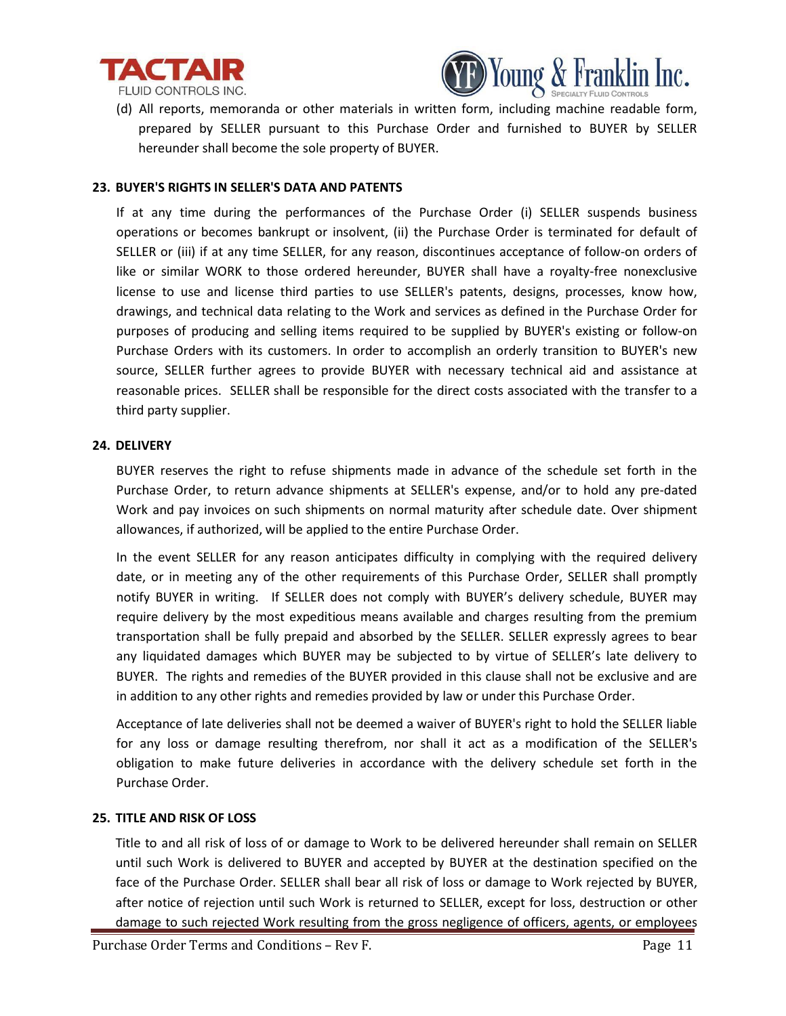



(d) All reports, memoranda or other materials in written form, including machine readable form, prepared by SELLER pursuant to this Purchase Order and furnished to BUYER by SELLER hereunder shall become the sole property of BUYER.

#### **23. BUYER'S RIGHTS IN SELLER'S DATA AND PATENTS**

If at any time during the performances of the Purchase Order (i) SELLER suspends business operations or becomes bankrupt or insolvent, (ii) the Purchase Order is terminated for default of SELLER or (iii) if at any time SELLER, for any reason, discontinues acceptance of follow-on orders of like or similar WORK to those ordered hereunder, BUYER shall have a royalty-free nonexclusive license to use and license third parties to use SELLER's patents, designs, processes, know how, drawings, and technical data relating to the Work and services as defined in the Purchase Order for purposes of producing and selling items required to be supplied by BUYER's existing or follow-on Purchase Orders with its customers. In order to accomplish an orderly transition to BUYER's new source, SELLER further agrees to provide BUYER with necessary technical aid and assistance at reasonable prices. SELLER shall be responsible for the direct costs associated with the transfer to a third party supplier.

#### **24. DELIVERY**

BUYER reserves the right to refuse shipments made in advance of the schedule set forth in the Purchase Order, to return advance shipments at SELLER's expense, and/or to hold any pre-dated Work and pay invoices on such shipments on normal maturity after schedule date. Over shipment allowances, if authorized, will be applied to the entire Purchase Order.

In the event SELLER for any reason anticipates difficulty in complying with the required delivery date, or in meeting any of the other requirements of this Purchase Order, SELLER shall promptly notify BUYER in writing. If SELLER does not comply with BUYER's delivery schedule, BUYER may require delivery by the most expeditious means available and charges resulting from the premium transportation shall be fully prepaid and absorbed by the SELLER. SELLER expressly agrees to bear any liquidated damages which BUYER may be subjected to by virtue of SELLER's late delivery to BUYER. The rights and remedies of the BUYER provided in this clause shall not be exclusive and are in addition to any other rights and remedies provided by law or under this Purchase Order.

Acceptance of late deliveries shall not be deemed a waiver of BUYER's right to hold the SELLER liable for any loss or damage resulting therefrom, nor shall it act as a modification of the SELLER's obligation to make future deliveries in accordance with the delivery schedule set forth in the Purchase Order.

# **25. TITLE AND RISK OF LOSS**

Title to and all risk of loss of or damage to Work to be delivered hereunder shall remain on SELLER until such Work is delivered to BUYER and accepted by BUYER at the destination specified on the face of the Purchase Order. SELLER shall bear all risk of loss or damage to Work rejected by BUYER, after notice of rejection until such Work is returned to SELLER, except for loss, destruction or other damage to such rejected Work resulting from the gross negligence of officers, agents, or employees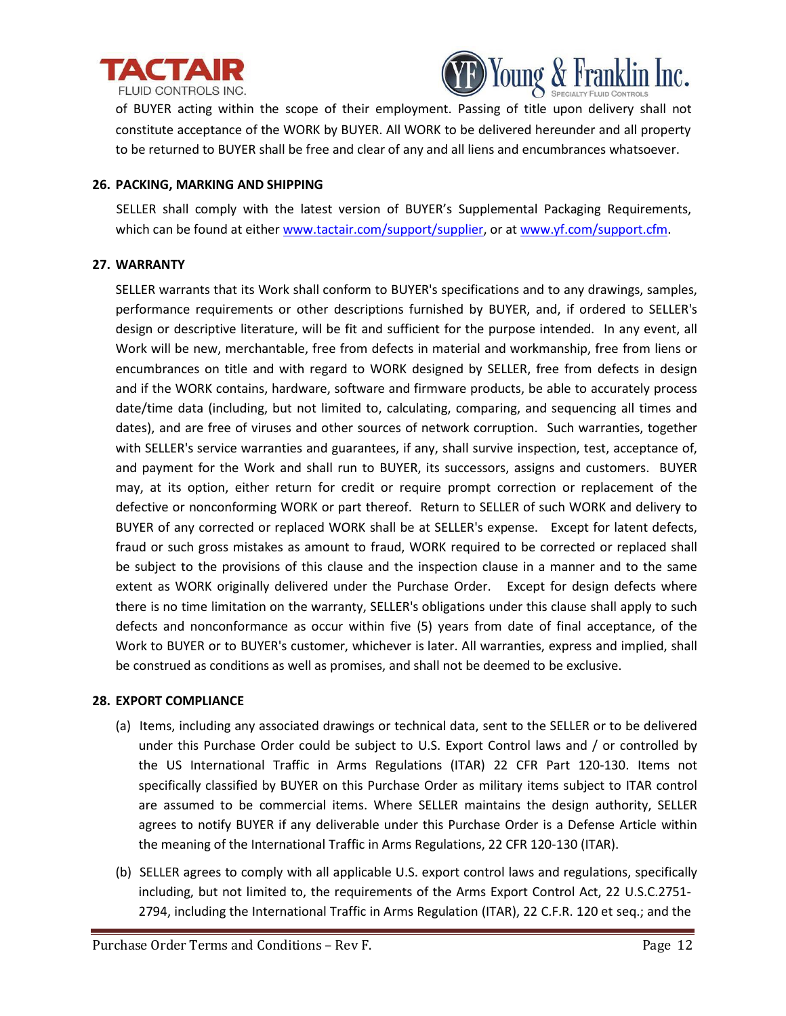



of BUYER acting within the scope of their employment. Passing of title upon delivery shall not constitute acceptance of the WORK by BUYER. All WORK to be delivered hereunder and all property to be returned to BUYER shall be free and clear of any and all liens and encumbrances whatsoever.

### **26. PACKING, MARKING AND SHIPPING**

SELLER shall comply with the latest version of BUYER's Supplemental Packaging Requirements, which can be found at either [www.tactair.com/support/supplier,](http://www.tactair.com/support/supplier) or at [www.yf.com/support.cfm.](http://www.yf.com/support.cfm)

#### **27. WARRANTY**

SELLER warrants that its Work shall conform to BUYER's specifications and to any drawings, samples, performance requirements or other descriptions furnished by BUYER, and, if ordered to SELLER's design or descriptive literature, will be fit and sufficient for the purpose intended. In any event, all Work will be new, merchantable, free from defects in material and workmanship, free from liens or encumbrances on title and with regard to WORK designed by SELLER, free from defects in design and if the WORK contains, hardware, software and firmware products, be able to accurately process date/time data (including, but not limited to, calculating, comparing, and sequencing all times and dates), and are free of viruses and other sources of network corruption. Such warranties, together with SELLER's service warranties and guarantees, if any, shall survive inspection, test, acceptance of, and payment for the Work and shall run to BUYER, its successors, assigns and customers. BUYER may, at its option, either return for credit or require prompt correction or replacement of the defective or nonconforming WORK or part thereof. Return to SELLER of such WORK and delivery to BUYER of any corrected or replaced WORK shall be at SELLER's expense. Except for latent defects, fraud or such gross mistakes as amount to fraud, WORK required to be corrected or replaced shall be subject to the provisions of this clause and the inspection clause in a manner and to the same extent as WORK originally delivered under the Purchase Order. Except for design defects where there is no time limitation on the warranty, SELLER's obligations under this clause shall apply to such defects and nonconformance as occur within five (5) years from date of final acceptance, of the Work to BUYER or to BUYER's customer, whichever is later. All warranties, express and implied, shall be construed as conditions as well as promises, and shall not be deemed to be exclusive.

# **28. EXPORT COMPLIANCE**

- (a) Items, including any associated drawings or technical data, sent to the SELLER or to be delivered under this Purchase Order could be subject to U.S. Export Control laws and / or controlled by the US International Traffic in Arms Regulations (ITAR) 22 CFR Part 120-130. Items not specifically classified by BUYER on this Purchase Order as military items subject to ITAR control are assumed to be commercial items. Where SELLER maintains the design authority, SELLER agrees to notify BUYER if any deliverable under this Purchase Order is a Defense Article within the meaning of the International Traffic in Arms Regulations, 22 CFR 120-130 (ITAR).
- (b) SELLER agrees to comply with all applicable U.S. export control laws and regulations, specifically including, but not limited to, the requirements of the Arms Export Control Act, 22 U.S.C.2751- 2794, including the International Traffic in Arms Regulation (ITAR), 22 C.F.R. 120 et seq.; and the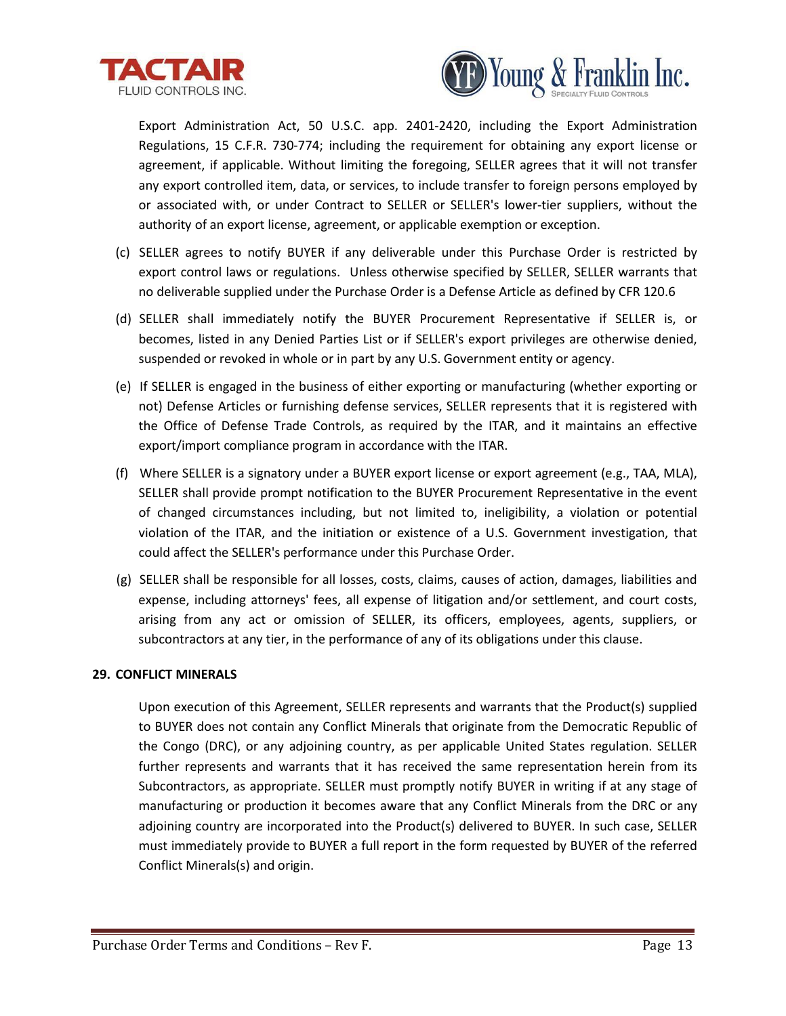



Export Administration Act, 50 U.S.C. app. 2401-2420, including the Export Administration Regulations, 15 C.F.R. 730-774; including the requirement for obtaining any export license or agreement, if applicable. Without limiting the foregoing, SELLER agrees that it will not transfer any export controlled item, data, or services, to include transfer to foreign persons employed by or associated with, or under Contract to SELLER or SELLER's lower-tier suppliers, without the authority of an export license, agreement, or applicable exemption or exception.

- (c) SELLER agrees to notify BUYER if any deliverable under this Purchase Order is restricted by export control laws or regulations. Unless otherwise specified by SELLER, SELLER warrants that no deliverable supplied under the Purchase Order is a Defense Article as defined by CFR 120.6
- (d) SELLER shall immediately notify the BUYER Procurement Representative if SELLER is, or becomes, listed in any Denied Parties List or if SELLER's export privileges are otherwise denied, suspended or revoked in whole or in part by any U.S. Government entity or agency.
- (e) If SELLER is engaged in the business of either exporting or manufacturing (whether exporting or not) Defense Articles or furnishing defense services, SELLER represents that it is registered with the Office of Defense Trade Controls, as required by the ITAR, and it maintains an effective export/import compliance program in accordance with the ITAR.
- (f) Where SELLER is a signatory under a BUYER export license or export agreement (e.g., TAA, MLA), SELLER shall provide prompt notification to the BUYER Procurement Representative in the event of changed circumstances including, but not limited to, ineligibility, a violation or potential violation of the ITAR, and the initiation or existence of a U.S. Government investigation, that could affect the SELLER's performance under this Purchase Order.
- (g) SELLER shall be responsible for all losses, costs, claims, causes of action, damages, liabilities and expense, including attorneys' fees, all expense of litigation and/or settlement, and court costs, arising from any act or omission of SELLER, its officers, employees, agents, suppliers, or subcontractors at any tier, in the performance of any of its obligations under this clause.

# **29. CONFLICT MINERALS**

Upon execution of this Agreement, SELLER represents and warrants that the Product(s) supplied to BUYER does not contain any Conflict Minerals that originate from the Democratic Republic of the Congo (DRC), or any adjoining country, as per applicable United States regulation. SELLER further represents and warrants that it has received the same representation herein from its Subcontractors, as appropriate. SELLER must promptly notify BUYER in writing if at any stage of manufacturing or production it becomes aware that any Conflict Minerals from the DRC or any adjoining country are incorporated into the Product(s) delivered to BUYER. In such case, SELLER must immediately provide to BUYER a full report in the form requested by BUYER of the referred Conflict Minerals(s) and origin.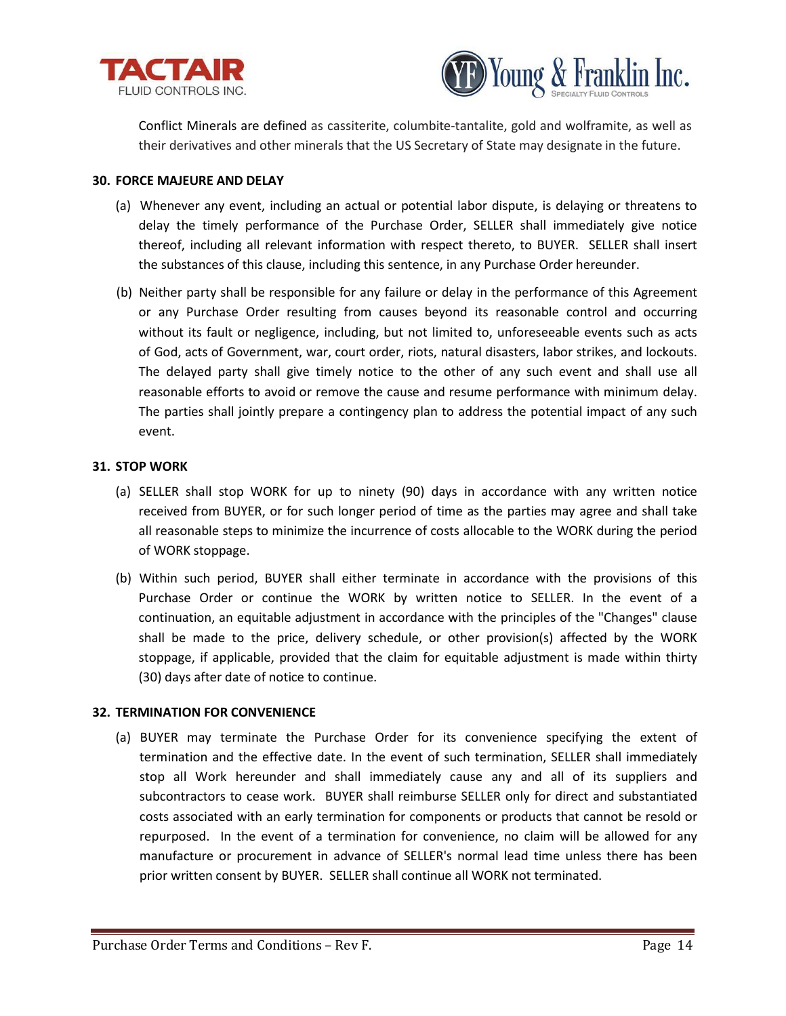



Conflict Minerals are defined as cassiterite, columbite-tantalite, gold and wolframite, as well as their derivatives and other minerals that the US Secretary of State may designate in the future.

#### **30. FORCE MAJEURE AND DELAY**

- (a) Whenever any event, including an actual or potential labor dispute, is delaying or threatens to delay the timely performance of the Purchase Order, SELLER shall immediately give notice thereof, including all relevant information with respect thereto, to BUYER. SELLER shall insert the substances of this clause, including this sentence, in any Purchase Order hereunder.
- (b) Neither party shall be responsible for any failure or delay in the performance of this Agreement or any Purchase Order resulting from causes beyond its reasonable control and occurring without its fault or negligence, including, but not limited to, unforeseeable events such as acts of God, acts of Government, war, court order, riots, natural disasters, labor strikes, and lockouts. The delayed party shall give timely notice to the other of any such event and shall use all reasonable efforts to avoid or remove the cause and resume performance with minimum delay. The parties shall jointly prepare a contingency plan to address the potential impact of any such event.

#### **31. STOP WORK**

- (a) SELLER shall stop WORK for up to ninety (90) days in accordance with any written notice received from BUYER, or for such longer period of time as the parties may agree and shall take all reasonable steps to minimize the incurrence of costs allocable to the WORK during the period of WORK stoppage.
- (b) Within such period, BUYER shall either terminate in accordance with the provisions of this Purchase Order or continue the WORK by written notice to SELLER. In the event of a continuation, an equitable adjustment in accordance with the principles of the "Changes" clause shall be made to the price, delivery schedule, or other provision(s) affected by the WORK stoppage, if applicable, provided that the claim for equitable adjustment is made within thirty (30) days after date of notice to continue.

#### **32. TERMINATION FOR CONVENIENCE**

(a) BUYER may terminate the Purchase Order for its convenience specifying the extent of termination and the effective date. In the event of such termination, SELLER shall immediately stop all Work hereunder and shall immediately cause any and all of its suppliers and subcontractors to cease work. BUYER shall reimburse SELLER only for direct and substantiated costs associated with an early termination for components or products that cannot be resold or repurposed. In the event of a termination for convenience, no claim will be allowed for any manufacture or procurement in advance of SELLER's normal lead time unless there has been prior written consent by BUYER. SELLER shall continue all WORK not terminated.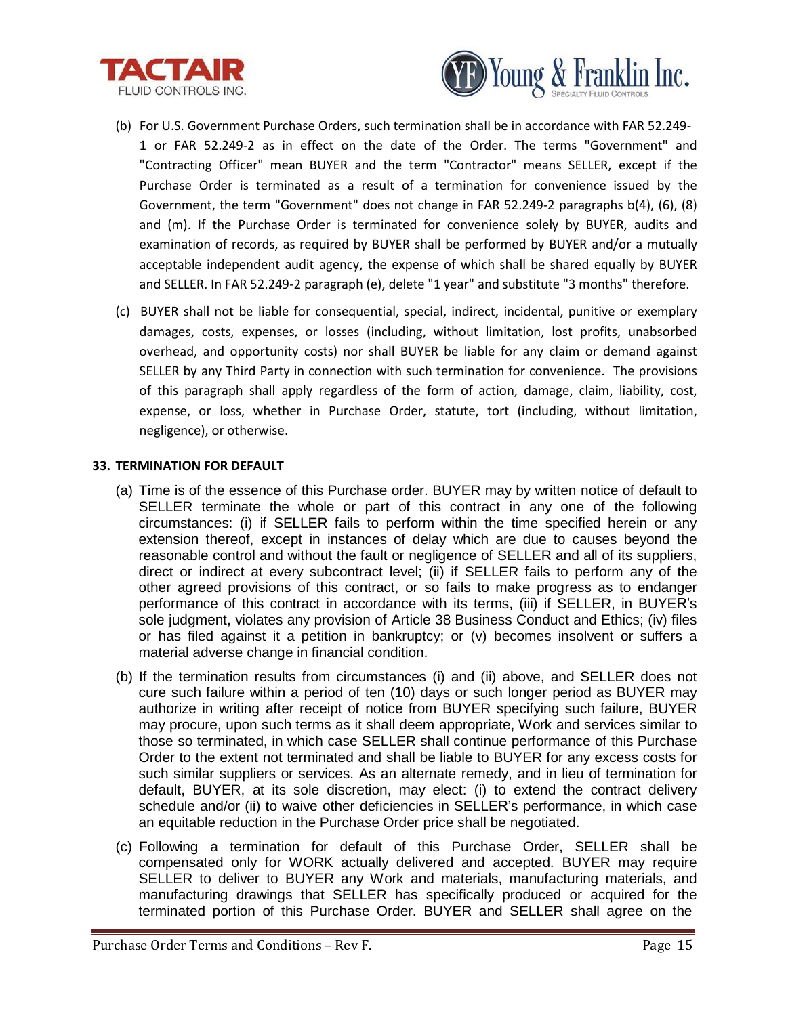



- (b) For U.S. Government Purchase Orders, such termination shall be in accordance with FAR 52.249- 1 or FAR 52.249-2 as in effect on the date of the Order. The terms "Government" and "Contracting Officer" mean BUYER and the term "Contractor" means SELLER, except if the Purchase Order is terminated as a result of a termination for convenience issued by the Government, the term "Government" does not change in FAR 52.249-2 paragraphs b(4), (6), (8) and (m). If the Purchase Order is terminated for convenience solely by BUYER, audits and examination of records, as required by BUYER shall be performed by BUYER and/or a mutually acceptable independent audit agency, the expense of which shall be shared equally by BUYER and SELLER. In FAR 52.249-2 paragraph (e), delete "1 year" and substitute "3 months" therefore.
- (c) BUYER shall not be liable for consequential, special, indirect, incidental, punitive or exemplary damages, costs, expenses, or losses (including, without limitation, lost profits, unabsorbed overhead, and opportunity costs) nor shall BUYER be liable for any claim or demand against SELLER by any Third Party in connection with such termination for convenience. The provisions of this paragraph shall apply regardless of the form of action, damage, claim, liability, cost, expense, or loss, whether in Purchase Order, statute, tort (including, without limitation, negligence), or otherwise.

# **33. TERMINATION FOR DEFAULT**

- (a) Time is of the essence of this Purchase order. BUYER may by written notice of default to SELLER terminate the whole or part of this contract in any one of the following circumstances: (i) if SELLER fails to perform within the time specified herein or any extension thereof, except in instances of delay which are due to causes beyond the reasonable control and without the fault or negligence of SELLER and all of its suppliers, direct or indirect at every subcontract level; (ii) if SELLER fails to perform any of the other agreed provisions of this contract, or so fails to make progress as to endanger performance of this contract in accordance with its terms, (iii) if SELLER, in BUYER's sole judgment, violates any provision of Article 38 Business Conduct and Ethics; (iv) files or has filed against it a petition in bankruptcy; or (v) becomes insolvent or suffers a material adverse change in financial condition.
- (b) If the termination results from circumstances (i) and (ii) above, and SELLER does not cure such failure within a period of ten (10) days or such longer period as BUYER may authorize in writing after receipt of notice from BUYER specifying such failure, BUYER may procure, upon such terms as it shall deem appropriate, Work and services similar to those so terminated, in which case SELLER shall continue performance of this Purchase Order to the extent not terminated and shall be liable to BUYER for any excess costs for such similar suppliers or services. As an alternate remedy, and in lieu of termination for default, BUYER, at its sole discretion, may elect: (i) to extend the contract delivery schedule and/or (ii) to waive other deficiencies in SELLER's performance, in which case an equitable reduction in the Purchase Order price shall be negotiated.
- (c) Following a termination for default of this Purchase Order, SELLER shall be compensated only for WORK actually delivered and accepted. BUYER may require SELLER to deliver to BUYER any Work and materials, manufacturing materials, and manufacturing drawings that SELLER has specifically produced or acquired for the terminated portion of this Purchase Order. BUYER and SELLER shall agree on the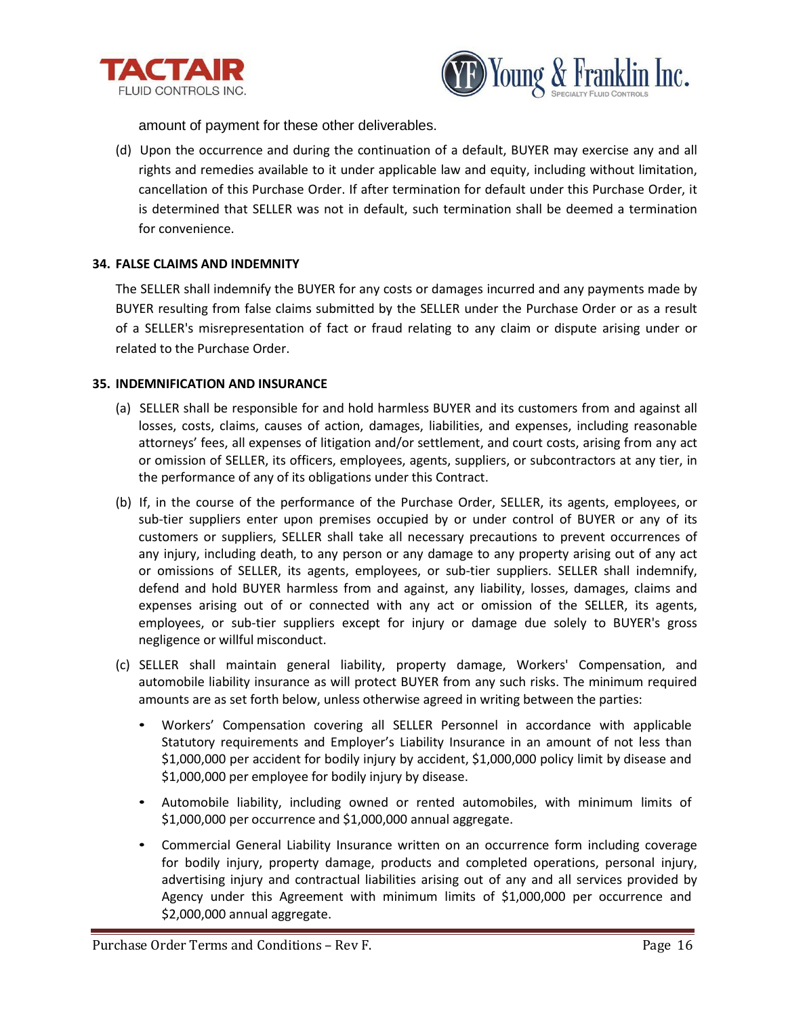



amount of payment for these other deliverables.

(d) Upon the occurrence and during the continuation of a default, BUYER may exercise any and all rights and remedies available to it under applicable law and equity, including without limitation, cancellation of this Purchase Order. If after termination for default under this Purchase Order, it is determined that SELLER was not in default, such termination shall be deemed a termination for convenience.

# **34. FALSE CLAIMS AND INDEMNITY**

The SELLER shall indemnify the BUYER for any costs or damages incurred and any payments made by BUYER resulting from false claims submitted by the SELLER under the Purchase Order or as a result of a SELLER's misrepresentation of fact or fraud relating to any claim or dispute arising under or related to the Purchase Order.

#### **35. INDEMNIFICATION AND INSURANCE**

- (a) SELLER shall be responsible for and hold harmless BUYER and its customers from and against all losses, costs, claims, causes of action, damages, liabilities, and expenses, including reasonable attorneys' fees, all expenses of litigation and/or settlement, and court costs, arising from any act or omission of SELLER, its officers, employees, agents, suppliers, or subcontractors at any tier, in the performance of any of its obligations under this Contract.
- (b) If, in the course of the performance of the Purchase Order, SELLER, its agents, employees, or sub-tier suppliers enter upon premises occupied by or under control of BUYER or any of its customers or suppliers, SELLER shall take all necessary precautions to prevent occurrences of any injury, including death, to any person or any damage to any property arising out of any act or omissions of SELLER, its agents, employees, or sub-tier suppliers. SELLER shall indemnify, defend and hold BUYER harmless from and against, any liability, losses, damages, claims and expenses arising out of or connected with any act or omission of the SELLER, its agents, employees, or sub-tier suppliers except for injury or damage due solely to BUYER's gross negligence or willful misconduct.
- (c) SELLER shall maintain general liability, property damage, Workers' Compensation, and automobile liability insurance as will protect BUYER from any such risks. The minimum required amounts are as set forth below, unless otherwise agreed in writing between the parties:
	- Workers' Compensation covering all SELLER Personnel in accordance with applicable Statutory requirements and Employer's Liability Insurance in an amount of not less than \$1,000,000 per accident for bodily injury by accident, \$1,000,000 policy limit by disease and \$1,000,000 per employee for bodily injury by disease.
	- Automobile liability, including owned or rented automobiles, with minimum limits of \$1,000,000 per occurrence and \$1,000,000 annual aggregate.
	- Commercial General Liability Insurance written on an occurrence form including coverage for bodily injury, property damage, products and completed operations, personal injury, advertising injury and contractual liabilities arising out of any and all services provided by Agency under this Agreement with minimum limits of \$1,000,000 per occurrence and \$2,000,000 annual aggregate.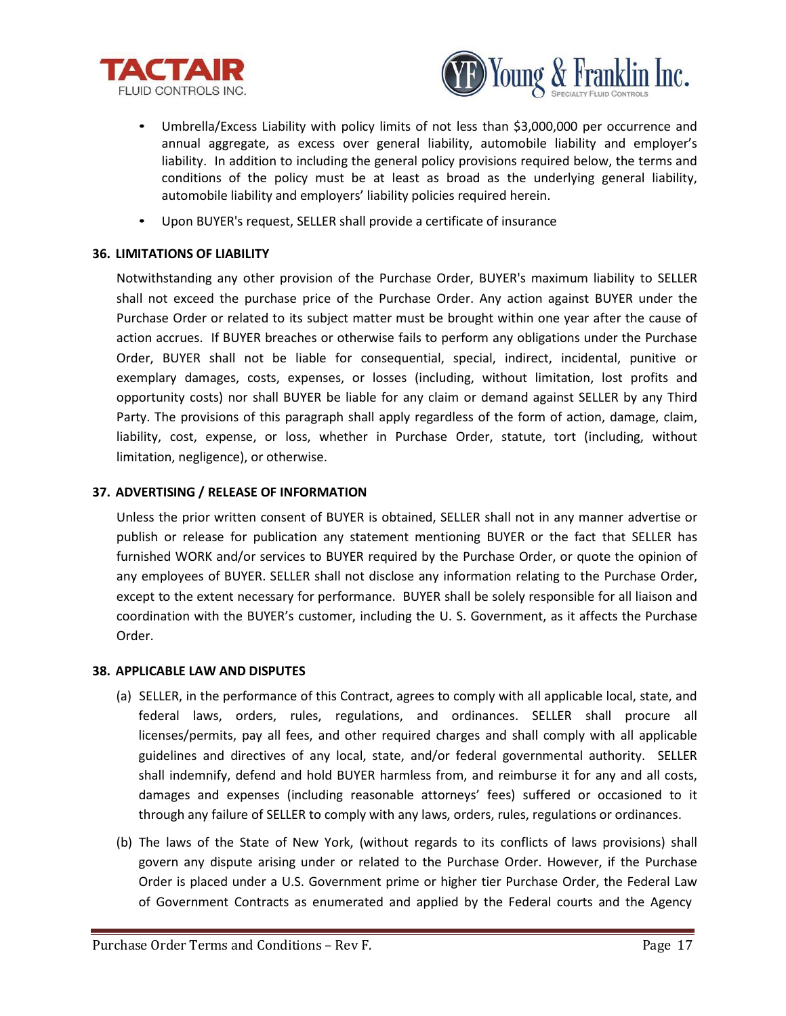



- Umbrella/Excess Liability with policy limits of not less than \$3,000,000 per occurrence and annual aggregate, as excess over general liability, automobile liability and employer's liability. In addition to including the general policy provisions required below, the terms and conditions of the policy must be at least as broad as the underlying general liability, automobile liability and employers' liability policies required herein.
- Upon BUYER's request, SELLER shall provide a certificate of insurance

### **36. LIMITATIONS OF LIABILITY**

Notwithstanding any other provision of the Purchase Order, BUYER's maximum liability to SELLER shall not exceed the purchase price of the Purchase Order. Any action against BUYER under the Purchase Order or related to its subject matter must be brought within one year after the cause of action accrues. If BUYER breaches or otherwise fails to perform any obligations under the Purchase Order, BUYER shall not be liable for consequential, special, indirect, incidental, punitive or exemplary damages, costs, expenses, or losses (including, without limitation, lost profits and opportunity costs) nor shall BUYER be liable for any claim or demand against SELLER by any Third Party. The provisions of this paragraph shall apply regardless of the form of action, damage, claim, liability, cost, expense, or loss, whether in Purchase Order, statute, tort (including, without limitation, negligence), or otherwise.

# **37. ADVERTISING / RELEASE OF INFORMATION**

Unless the prior written consent of BUYER is obtained, SELLER shall not in any manner advertise or publish or release for publication any statement mentioning BUYER or the fact that SELLER has furnished WORK and/or services to BUYER required by the Purchase Order, or quote the opinion of any employees of BUYER. SELLER shall not disclose any information relating to the Purchase Order, except to the extent necessary for performance. BUYER shall be solely responsible for all liaison and coordination with the BUYER's customer, including the U. S. Government, as it affects the Purchase Order.

#### **38. APPLICABLE LAW AND DISPUTES**

- (a) SELLER, in the performance of this Contract, agrees to comply with all applicable local, state, and federal laws, orders, rules, regulations, and ordinances. SELLER shall procure all licenses/permits, pay all fees, and other required charges and shall comply with all applicable guidelines and directives of any local, state, and/or federal governmental authority. SELLER shall indemnify, defend and hold BUYER harmless from, and reimburse it for any and all costs, damages and expenses (including reasonable attorneys' fees) suffered or occasioned to it through any failure of SELLER to comply with any laws, orders, rules, regulations or ordinances.
- (b) The laws of the State of New York, (without regards to its conflicts of laws provisions) shall govern any dispute arising under or related to the Purchase Order. However, if the Purchase Order is placed under a U.S. Government prime or higher tier Purchase Order, the Federal Law of Government Contracts as enumerated and applied by the Federal courts and the Agency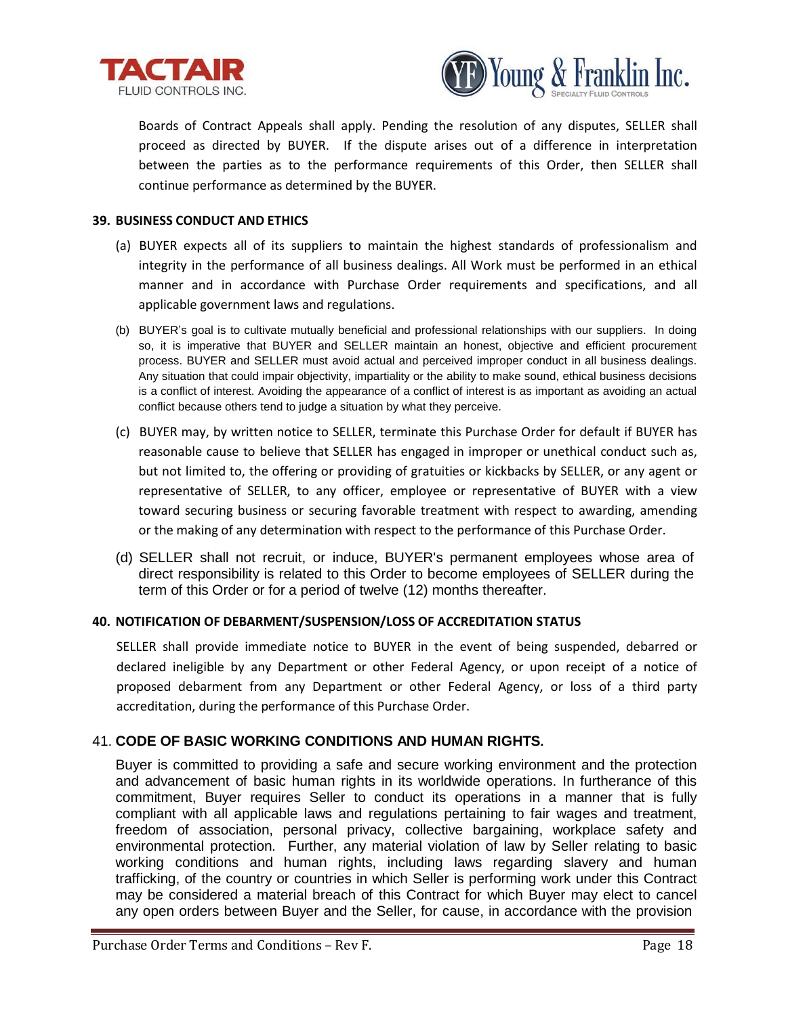



Boards of Contract Appeals shall apply. Pending the resolution of any disputes, SELLER shall proceed as directed by BUYER. If the dispute arises out of a difference in interpretation between the parties as to the performance requirements of this Order, then SELLER shall continue performance as determined by the BUYER.

### **39. BUSINESS CONDUCT AND ETHICS**

- (a) BUYER expects all of its suppliers to maintain the highest standards of professionalism and integrity in the performance of all business dealings. All Work must be performed in an ethical manner and in accordance with Purchase Order requirements and specifications, and all applicable government laws and regulations.
- (b) BUYER's goal is to cultivate mutually beneficial and professional relationships with our suppliers. In doing so, it is imperative that BUYER and SELLER maintain an honest, objective and efficient procurement process. BUYER and SELLER must avoid actual and perceived improper conduct in all business dealings. Any situation that could impair objectivity, impartiality or the ability to make sound, ethical business decisions is a conflict of interest. Avoiding the appearance of a conflict of interest is as important as avoiding an actual conflict because others tend to judge a situation by what they perceive.
- (c) BUYER may, by written notice to SELLER, terminate this Purchase Order for default if BUYER has reasonable cause to believe that SELLER has engaged in improper or unethical conduct such as, but not limited to, the offering or providing of gratuities or kickbacks by SELLER, or any agent or representative of SELLER, to any officer, employee or representative of BUYER with a view toward securing business or securing favorable treatment with respect to awarding, amending or the making of any determination with respect to the performance of this Purchase Order.
- (d) SELLER shall not recruit, or induce, BUYER's permanent employees whose area of direct responsibility is related to this Order to become employees of SELLER during the term of this Order or for a period of twelve (12) months thereafter.

# **40. NOTIFICATION OF DEBARMENT/SUSPENSION/LOSS OF ACCREDITATION STATUS**

SELLER shall provide immediate notice to BUYER in the event of being suspended, debarred or declared ineligible by any Department or other Federal Agency, or upon receipt of a notice of proposed debarment from any Department or other Federal Agency, or loss of a third party accreditation, during the performance of this Purchase Order.

# 41. **CODE OF BASIC WORKING CONDITIONS AND HUMAN RIGHTS.**

Buyer is committed to providing a safe and secure working environment and the protection and advancement of basic human rights in its worldwide operations. In furtherance of this commitment, Buyer requires Seller to conduct its operations in a manner that is fully compliant with all applicable laws and regulations pertaining to fair wages and treatment, freedom of association, personal privacy, collective bargaining, workplace safety and environmental protection. Further, any material violation of law by Seller relating to basic working conditions and human rights, including laws regarding slavery and human trafficking, of the country or countries in which Seller is performing work under this Contract may be considered a material breach of this Contract for which Buyer may elect to cancel any open orders between Buyer and the Seller, for cause, in accordance with the provision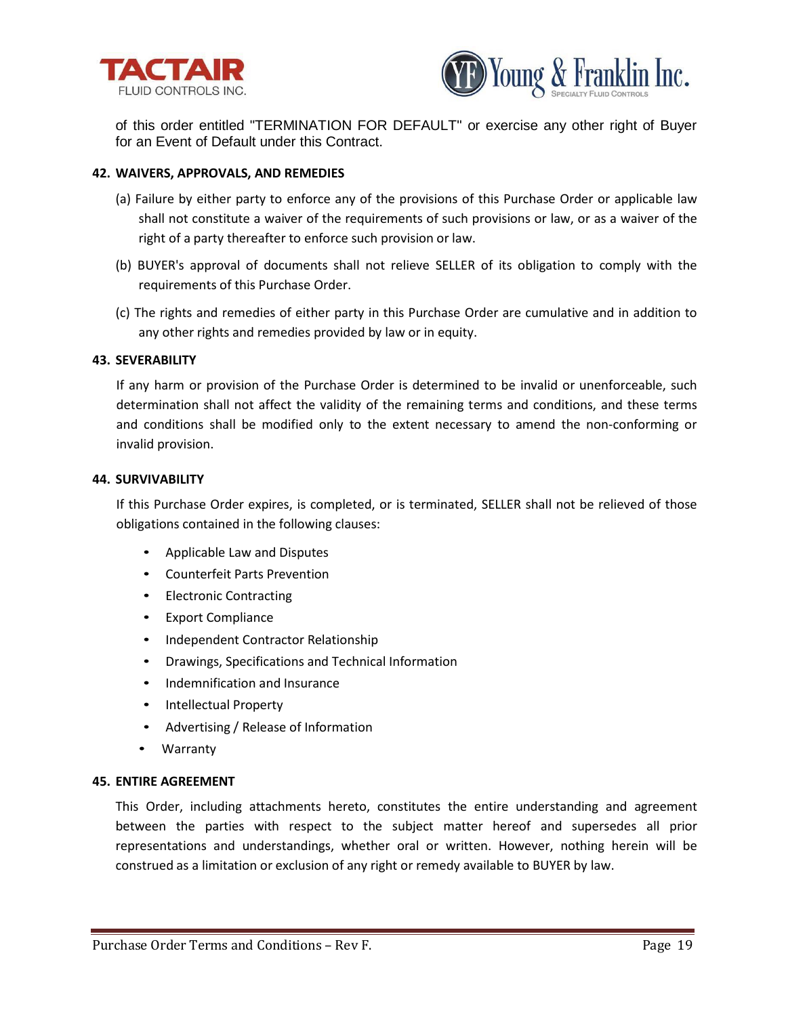



of this order entitled "TERMINATION FOR DEFAULT" or exercise any other right of Buyer for an Event of Default under this Contract.

# **42. WAIVERS, APPROVALS, AND REMEDIES**

- (a) Failure by either party to enforce any of the provisions of this Purchase Order or applicable law shall not constitute a waiver of the requirements of such provisions or law, or as a waiver of the right of a party thereafter to enforce such provision or law.
- (b) BUYER's approval of documents shall not relieve SELLER of its obligation to comply with the requirements of this Purchase Order.
- (c) The rights and remedies of either party in this Purchase Order are cumulative and in addition to any other rights and remedies provided by law or in equity.

#### **43. SEVERABILITY**

If any harm or provision of the Purchase Order is determined to be invalid or unenforceable, such determination shall not affect the validity of the remaining terms and conditions, and these terms and conditions shall be modified only to the extent necessary to amend the non-conforming or invalid provision.

# **44. SURVIVABILITY**

If this Purchase Order expires, is completed, or is terminated, SELLER shall not be relieved of those obligations contained in the following clauses:

- Applicable Law and Disputes
- Counterfeit Parts Prevention
- Electronic Contracting
- Export Compliance
- Independent Contractor Relationship
- Drawings, Specifications and Technical Information
- Indemnification and Insurance
- Intellectual Property
- Advertising / Release of Information
- Warranty

#### **45. ENTIRE AGREEMENT**

This Order, including attachments hereto, constitutes the entire understanding and agreement between the parties with respect to the subject matter hereof and supersedes all prior representations and understandings, whether oral or written. However, nothing herein will be construed as a limitation or exclusion of any right or remedy available to BUYER by law.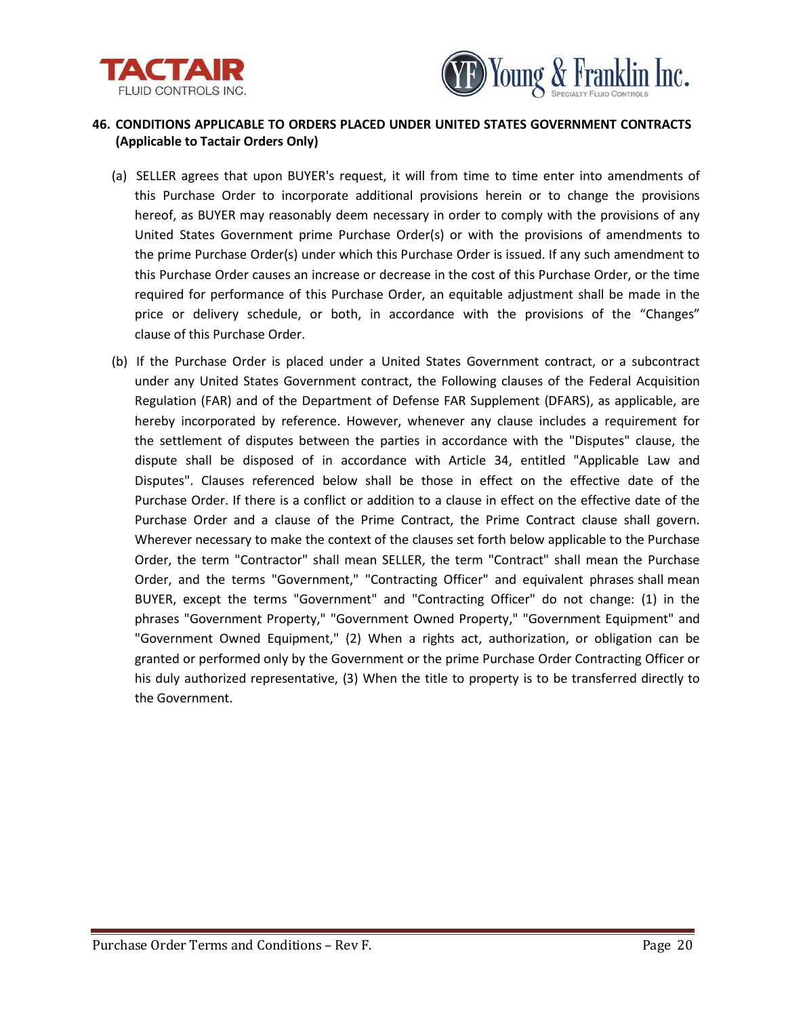



# **46. CONDITIONS APPLICABLE TO ORDERS PLACED UNDER UNITED STATES GOVERNMENT CONTRACTS (Applicable to Tactair Orders Only)**

- (a) SELLER agrees that upon BUYER's request, it will from time to time enter into amendments of this Purchase Order to incorporate additional provisions herein or to change the provisions hereof, as BUYER may reasonably deem necessary in order to comply with the provisions of any United States Government prime Purchase Order(s) or with the provisions of amendments to the prime Purchase Order(s) under which this Purchase Order is issued. If any such amendment to this Purchase Order causes an increase or decrease in the cost of this Purchase Order, or the time required for performance of this Purchase Order, an equitable adjustment shall be made in the price or delivery schedule, or both, in accordance with the provisions of the "Changes" clause of this Purchase Order.
- (b) If the Purchase Order is placed under a United States Government contract, or a subcontract under any United States Government contract, the Following clauses of the Federal Acquisition Regulation (FAR) and of the Department of Defense FAR Supplement (DFARS), as applicable, are hereby incorporated by reference. However, whenever any clause includes a requirement for the settlement of disputes between the parties in accordance with the "Disputes" clause, the dispute shall be disposed of in accordance with Article 34, entitled "Applicable Law and Disputes". Clauses referenced below shall be those in effect on the effective date of the Purchase Order. If there is a conflict or addition to a clause in effect on the effective date of the Purchase Order and a clause of the Prime Contract, the Prime Contract clause shall govern. Wherever necessary to make the context of the clauses set forth below applicable to the Purchase Order, the term "Contractor" shall mean SELLER, the term "Contract" shall mean the Purchase Order, and the terms "Government," "Contracting Officer" and equivalent phrases shall mean BUYER, except the terms "Government" and "Contracting Officer" do not change: (1) in the phrases "Government Property," "Government Owned Property," "Government Equipment" and "Government Owned Equipment," (2) When a rights act, authorization, or obligation can be granted or performed only by the Government or the prime Purchase Order Contracting Officer or his duly authorized representative, (3) When the title to property is to be transferred directly to the Government.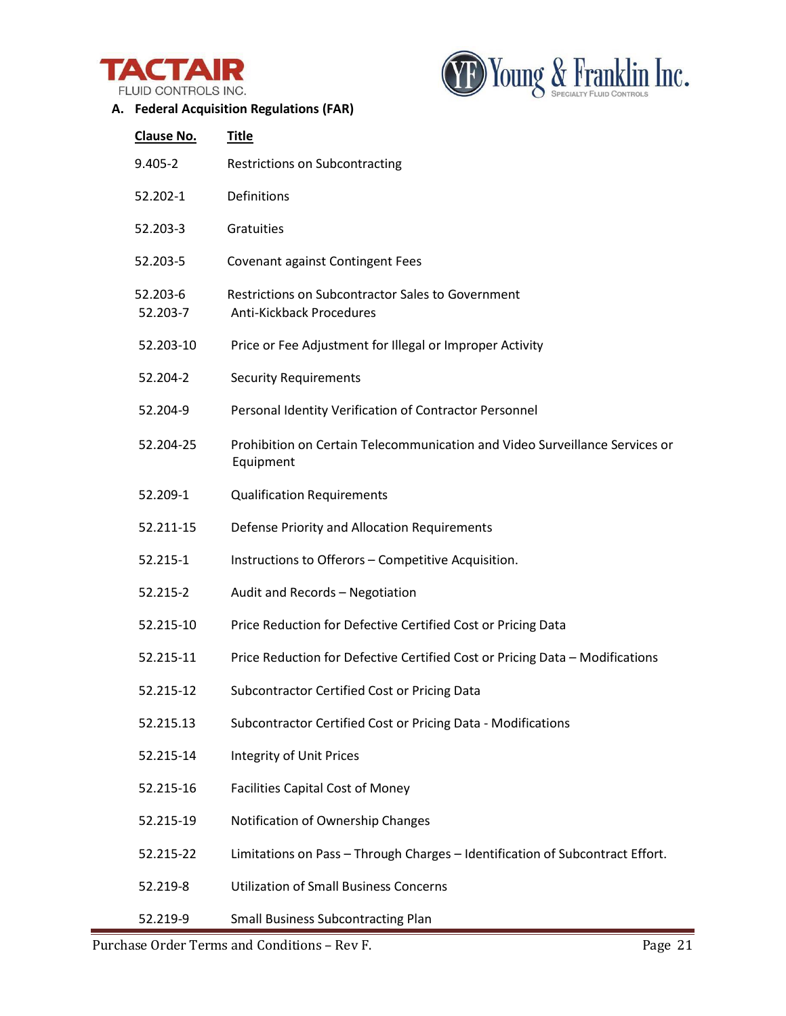



# **A. Federal Acquisition Regulations (FAR)**

| Clause No.           | <b>Title</b>                                                                                |
|----------------------|---------------------------------------------------------------------------------------------|
| $9.405 - 2$          | <b>Restrictions on Subcontracting</b>                                                       |
| 52.202-1             | Definitions                                                                                 |
| 52.203-3             | Gratuities                                                                                  |
| 52.203-5             | Covenant against Contingent Fees                                                            |
| 52.203-6<br>52.203-7 | <b>Restrictions on Subcontractor Sales to Government</b><br><b>Anti-Kickback Procedures</b> |
| 52.203-10            | Price or Fee Adjustment for Illegal or Improper Activity                                    |
| 52.204-2             | <b>Security Requirements</b>                                                                |
| 52.204-9             | Personal Identity Verification of Contractor Personnel                                      |
| 52.204-25            | Prohibition on Certain Telecommunication and Video Surveillance Services or<br>Equipment    |
| 52.209-1             | <b>Qualification Requirements</b>                                                           |
| 52.211-15            | Defense Priority and Allocation Requirements                                                |
| 52.215-1             | Instructions to Offerors - Competitive Acquisition.                                         |
| 52.215-2             | Audit and Records - Negotiation                                                             |
| 52.215-10            | Price Reduction for Defective Certified Cost or Pricing Data                                |
| 52.215-11            | Price Reduction for Defective Certified Cost or Pricing Data - Modifications                |
| 52.215-12            | Subcontractor Certified Cost or Pricing Data                                                |
| 52.215.13            | Subcontractor Certified Cost or Pricing Data - Modifications                                |
| 52.215-14            | <b>Integrity of Unit Prices</b>                                                             |
| 52.215-16            | <b>Facilities Capital Cost of Money</b>                                                     |
| 52.215-19            | Notification of Ownership Changes                                                           |
| 52.215-22            | Limitations on Pass - Through Charges - Identification of Subcontract Effort.               |
| 52.219-8             | <b>Utilization of Small Business Concerns</b>                                               |
| 52.219-9             | <b>Small Business Subcontracting Plan</b>                                                   |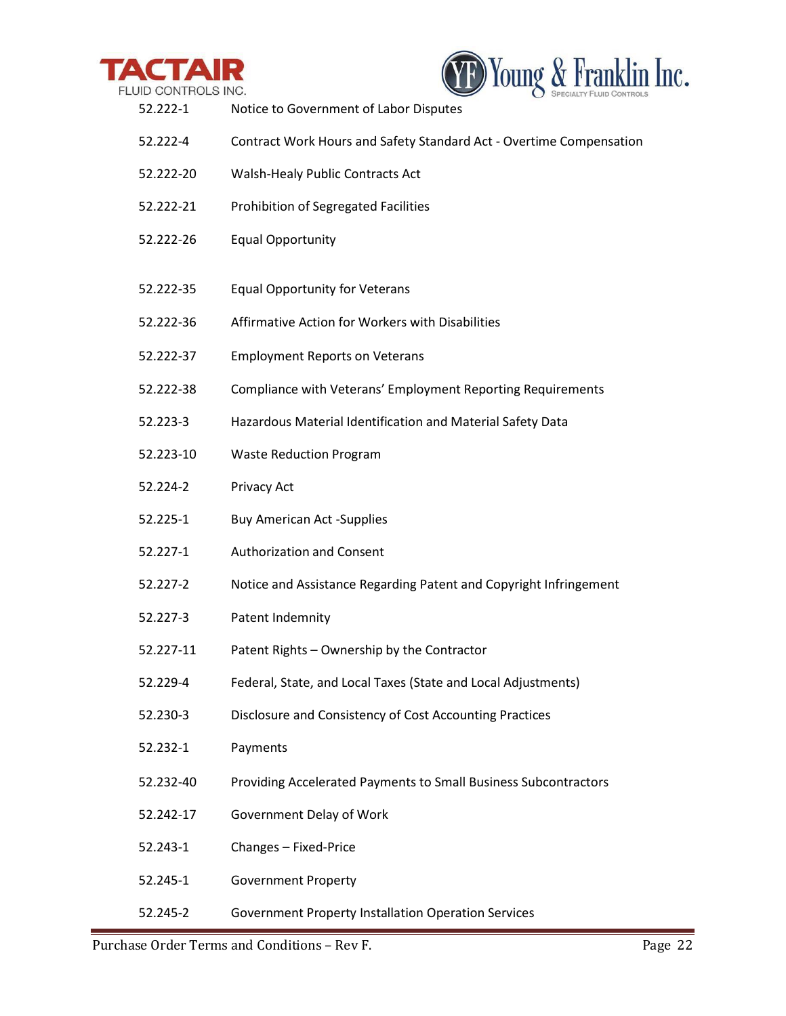



| 52.222-1  | Notice to Government of Labor Disputes                              |
|-----------|---------------------------------------------------------------------|
| 52.222-4  | Contract Work Hours and Safety Standard Act - Overtime Compensation |
| 52.222-20 | Walsh-Healy Public Contracts Act                                    |
| 52.222-21 | Prohibition of Segregated Facilities                                |
| 52.222-26 | <b>Equal Opportunity</b>                                            |
| 52.222-35 | <b>Equal Opportunity for Veterans</b>                               |
| 52.222-36 | Affirmative Action for Workers with Disabilities                    |
| 52.222-37 | <b>Employment Reports on Veterans</b>                               |
| 52.222-38 | Compliance with Veterans' Employment Reporting Requirements         |
| 52.223-3  | Hazardous Material Identification and Material Safety Data          |
| 52.223-10 | <b>Waste Reduction Program</b>                                      |
| 52.224-2  | Privacy Act                                                         |
| 52.225-1  | <b>Buy American Act -Supplies</b>                                   |
| 52.227-1  | <b>Authorization and Consent</b>                                    |
| 52.227-2  | Notice and Assistance Regarding Patent and Copyright Infringement   |
| 52.227-3  | Patent Indemnity                                                    |
| 52.227-11 | Patent Rights - Ownership by the Contractor                         |
| 52.229-4  | Federal, State, and Local Taxes (State and Local Adjustments)       |
| 52.230-3  | Disclosure and Consistency of Cost Accounting Practices             |
| 52.232-1  | Payments                                                            |
| 52.232-40 | Providing Accelerated Payments to Small Business Subcontractors     |
| 52.242-17 | Government Delay of Work                                            |
| 52.243-1  | Changes - Fixed-Price                                               |
| 52.245-1  | <b>Government Property</b>                                          |
| 52.245-2  | <b>Government Property Installation Operation Services</b>          |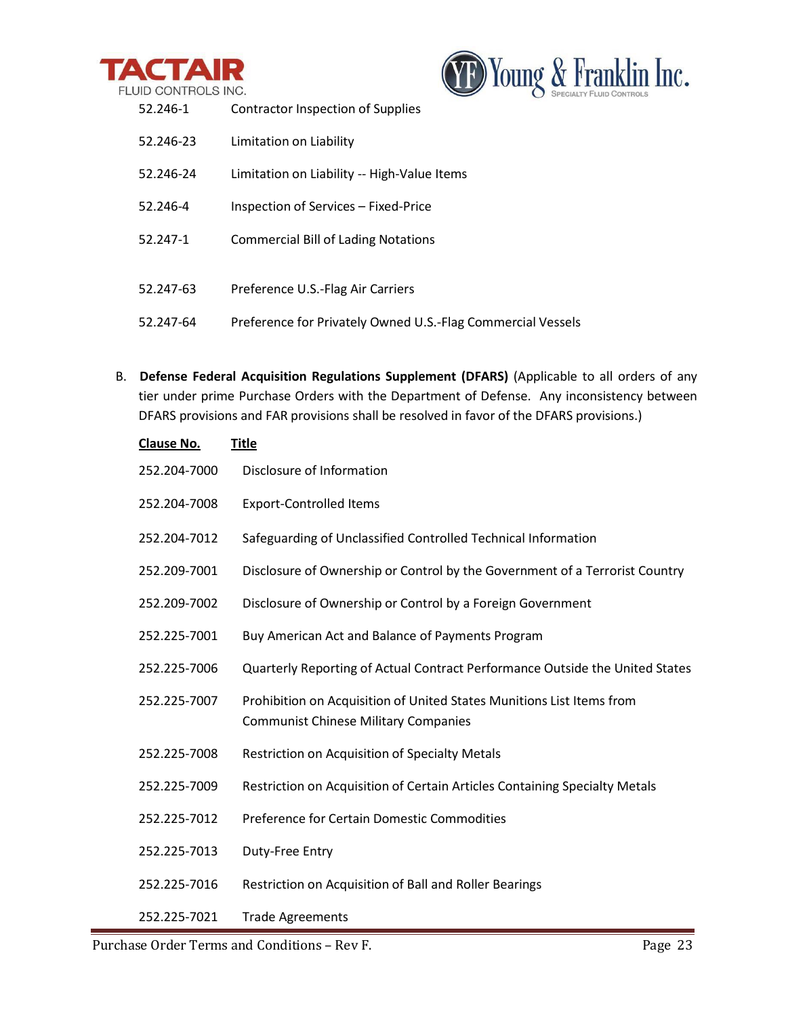



| 52.246-1  | Contractor Inspection of Supplies                           |
|-----------|-------------------------------------------------------------|
| 52.246-23 | Limitation on Liability                                     |
| 52.246-24 | Limitation on Liability -- High-Value Items                 |
| 52.246-4  | Inspection of Services – Fixed-Price                        |
| 52.247-1  | <b>Commercial Bill of Lading Notations</b>                  |
|           |                                                             |
| 52.247-63 | Preference U.S.-Flag Air Carriers                           |
| 52.247-64 | Preference for Privately Owned U.S.-Flag Commercial Vessels |

B. **Defense Federal Acquisition Regulations Supplement (DFARS)** (Applicable to all orders of any tier under prime Purchase Orders with the Department of Defense. Any inconsistency between DFARS provisions and FAR provisions shall be resolved in favor of the DFARS provisions.)

| Clause No.   | <b>Title</b>                                                                                                         |
|--------------|----------------------------------------------------------------------------------------------------------------------|
| 252.204-7000 | Disclosure of Information                                                                                            |
| 252.204-7008 | <b>Export-Controlled Items</b>                                                                                       |
| 252.204-7012 | Safeguarding of Unclassified Controlled Technical Information                                                        |
| 252.209-7001 | Disclosure of Ownership or Control by the Government of a Terrorist Country                                          |
| 252.209-7002 | Disclosure of Ownership or Control by a Foreign Government                                                           |
| 252.225-7001 | Buy American Act and Balance of Payments Program                                                                     |
| 252.225-7006 | Quarterly Reporting of Actual Contract Performance Outside the United States                                         |
| 252.225-7007 | Prohibition on Acquisition of United States Munitions List Items from<br><b>Communist Chinese Military Companies</b> |
| 252.225-7008 | Restriction on Acquisition of Specialty Metals                                                                       |
| 252.225-7009 | Restriction on Acquisition of Certain Articles Containing Specialty Metals                                           |
| 252.225-7012 | Preference for Certain Domestic Commodities                                                                          |
| 252.225-7013 | Duty-Free Entry                                                                                                      |
| 252.225-7016 | Restriction on Acquisition of Ball and Roller Bearings                                                               |
| 252.225-7021 | <b>Trade Agreements</b>                                                                                              |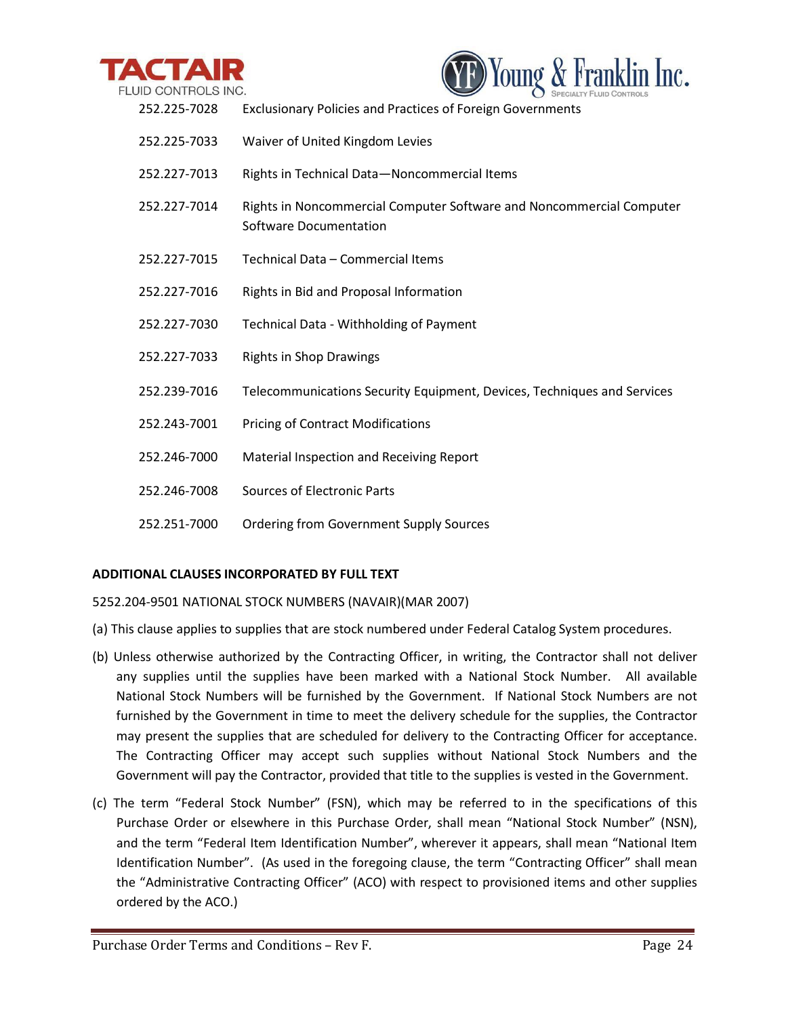



| 252.225-7028 | <b>Exclusionary Policies and Practices of Foreign Governments</b>                              |
|--------------|------------------------------------------------------------------------------------------------|
| 252.225-7033 | Waiver of United Kingdom Levies                                                                |
| 252.227-7013 | Rights in Technical Data-Noncommercial Items                                                   |
| 252.227-7014 | Rights in Noncommercial Computer Software and Noncommercial Computer<br>Software Documentation |
| 252.227-7015 | Technical Data - Commercial Items                                                              |
| 252.227-7016 | Rights in Bid and Proposal Information                                                         |
| 252.227-7030 | Technical Data - Withholding of Payment                                                        |
| 252.227-7033 | <b>Rights in Shop Drawings</b>                                                                 |
| 252.239-7016 | Telecommunications Security Equipment, Devices, Techniques and Services                        |
| 252.243-7001 | <b>Pricing of Contract Modifications</b>                                                       |
| 252.246-7000 | Material Inspection and Receiving Report                                                       |
| 252.246-7008 | <b>Sources of Electronic Parts</b>                                                             |
| 252.251-7000 | <b>Ordering from Government Supply Sources</b>                                                 |

# **ADDITIONAL CLAUSES INCORPORATED BY FULL TEXT**

5252.204-9501 NATIONAL STOCK NUMBERS (NAVAIR)(MAR 2007)

- (a) This clause applies to supplies that are stock numbered under Federal Catalog System procedures.
- (b) Unless otherwise authorized by the Contracting Officer, in writing, the Contractor shall not deliver any supplies until the supplies have been marked with a National Stock Number. All available National Stock Numbers will be furnished by the Government. If National Stock Numbers are not furnished by the Government in time to meet the delivery schedule for the supplies, the Contractor may present the supplies that are scheduled for delivery to the Contracting Officer for acceptance. The Contracting Officer may accept such supplies without National Stock Numbers and the Government will pay the Contractor, provided that title to the supplies is vested in the Government.
- (c) The term "Federal Stock Number" (FSN), which may be referred to in the specifications of this Purchase Order or elsewhere in this Purchase Order, shall mean "National Stock Number" (NSN), and the term "Federal Item Identification Number", wherever it appears, shall mean "National Item Identification Number". (As used in the foregoing clause, the term "Contracting Officer" shall mean the "Administrative Contracting Officer" (ACO) with respect to provisioned items and other supplies ordered by the ACO.)